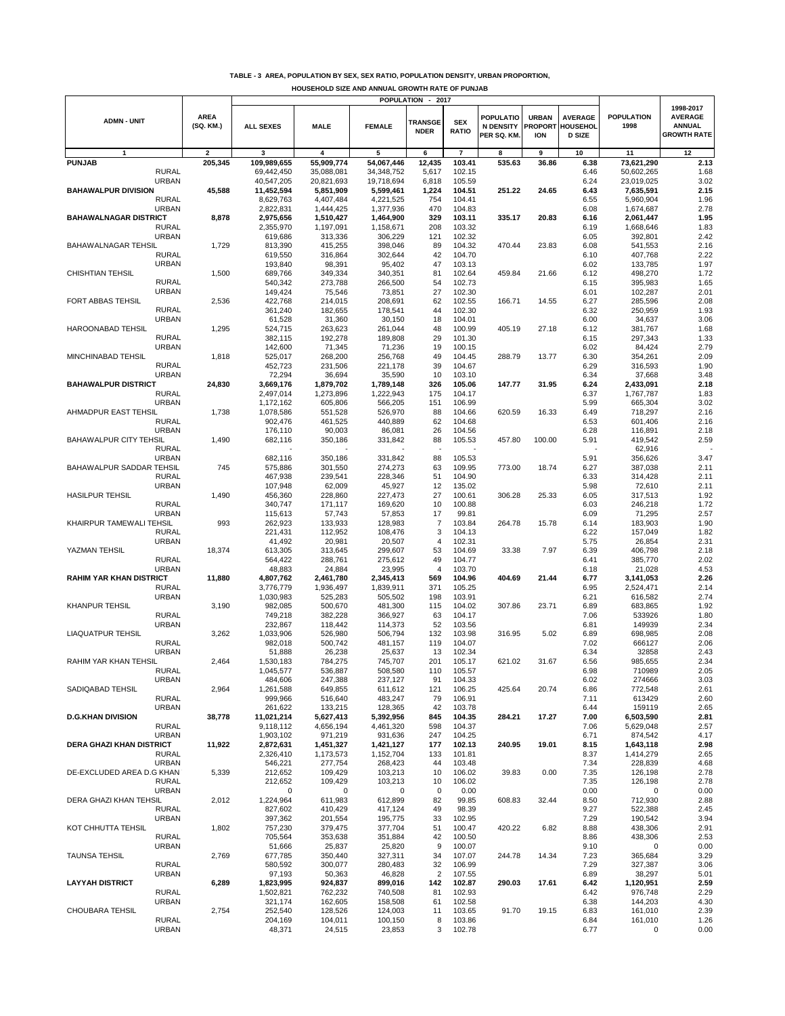|  |  |  |  |  | TABLE - 3 AREA, POPULATION BY SEX, SEX RATIO, POPULATION DENSITY, URBAN PROPORTION, |  |
|--|--|--|--|--|-------------------------------------------------------------------------------------|--|
|--|--|--|--|--|-------------------------------------------------------------------------------------|--|

**HOUSEHOLD SIZE AND ANNUAL GROWTH RATE OF PUNJAB**

|                                              |                          |                        |                         |                        | POPULATION - 2017             |                            |                                             |                                              |                                                    |                           |                                                                    |
|----------------------------------------------|--------------------------|------------------------|-------------------------|------------------------|-------------------------------|----------------------------|---------------------------------------------|----------------------------------------------|----------------------------------------------------|---------------------------|--------------------------------------------------------------------|
| <b>ADMN - UNIT</b>                           | <b>AREA</b><br>(SQ. KM.) | <b>ALL SEXES</b>       | <b>MALE</b>             | <b>FEMALE</b>          | <b>TRANSGE</b><br><b>NDER</b> | <b>SEX</b><br><b>RATIO</b> | POPULATIO<br><b>N DENSITY</b><br>PER SQ. KM | <b>URBAN</b><br><b>PROPORT</b><br><b>ION</b> | <b>AVERAGE</b><br><b>HOUSEHOL</b><br><b>D SIZE</b> | <b>POPULATION</b><br>1998 | 1998-2017<br><b>AVERAGE</b><br><b>ANNUAL</b><br><b>GROWTH RATE</b> |
| 1                                            | 2                        | 3                      | $\overline{\mathbf{4}}$ | 5                      | 6                             | $\overline{7}$             | 8                                           | 9                                            | 10                                                 | 11                        | 12                                                                 |
| <b>PUNJAB</b>                                | 205,345                  | 109,989,655            | 55,909,774              | 54,067,446             | 12,435                        | 103.41                     | 535.63                                      | 36.86                                        | 6.38                                               | 73,621,290                | 2.13                                                               |
| <b>RURAL</b>                                 |                          | 69,442,450             | 35,088,081              | 34, 348, 752           | 5,617                         | 102.15                     |                                             |                                              | 6.46                                               | 50,602,265                | 1.68                                                               |
| <b>URBAN</b>                                 |                          | 40,547,205             | 20,821,693              | 19,718,694             | 6,818                         | 105.59                     |                                             |                                              | 6.24                                               | 23,019,025                | 3.02                                                               |
| <b>BAHAWALPUR DIVISION</b>                   | 45,588                   | 11,452,594             | 5,851,909               | 5,599,461              | 1,224                         | 104.51                     | 251.22                                      | 24.65                                        | 6.43                                               | 7,635,591                 | 2.15                                                               |
| <b>RURAL</b>                                 |                          | 8,629,763              | 4,407,484               | 4,221,525              | 754                           | 104.41                     |                                             |                                              | 6.55                                               | 5,960,904                 | 1.96                                                               |
| <b>URBAN</b>                                 |                          | 2,822,831              | 1,444,425               | 1,377,936              | 470                           | 104.83                     |                                             |                                              | 6.08                                               | 1,674,687                 | 2.78                                                               |
| <b>BAHAWALNAGAR DISTRICT</b><br><b>RURAL</b> | 8,878                    | 2,975,656<br>2,355,970 | 1,510,427<br>1,197,091  | 1,464,900<br>1,158,671 | 329<br>208                    | 103.11<br>103.32           | 335.17                                      | 20.83                                        | 6.16<br>6.19                                       | 2,061,447<br>1,668,646    | 1.95<br>1.83                                                       |
| <b>URBAN</b>                                 |                          | 619,686                | 313,336                 | 306,229                | 121                           | 102.32                     |                                             |                                              | 6.05                                               | 392,801                   | 2.42                                                               |
| <b>BAHAWALNAGAR TEHSIL</b>                   | 1,729                    | 813,390                | 415,255                 | 398,046                | 89                            | 104.32                     | 470.44                                      | 23.83                                        | 6.08                                               | 541,553                   | 2.16                                                               |
| <b>RURAL</b>                                 |                          | 619,550                | 316,864                 | 302,644                | 42                            | 104.70                     |                                             |                                              | 6.10                                               | 407,768                   | 2.22                                                               |
| <b>URBAN</b>                                 |                          | 193,840                | 98,391                  | 95,402                 | 47                            | 103.13                     |                                             |                                              | 6.02                                               | 133,785                   | 1.97                                                               |
| <b>CHISHTIAN TEHSIL</b>                      | 1,500                    | 689,766                | 349,334                 | 340,351                | 81                            | 102.64                     | 459.84                                      | 21.66                                        | 6.12                                               | 498,270                   | 1.72                                                               |
| <b>RURAL</b>                                 |                          | 540,342                | 273,788                 | 266,500                | 54                            | 102.73                     |                                             |                                              | 6.15                                               | 395,983                   | 1.65                                                               |
| <b>URBAN</b>                                 |                          | 149,424                | 75,546                  | 73,851                 | 27                            | 102.30                     |                                             |                                              | 6.01                                               | 102,287                   | 2.01                                                               |
| FORT ABBAS TEHSIL                            | 2,536                    | 422,768                | 214,015                 | 208,691                | 62                            | 102.55                     | 166.71                                      | 14.55                                        | 6.27                                               | 285,596                   | 2.08                                                               |
| <b>RURAL</b>                                 |                          | 361,240                | 182,655                 | 178,541                | 44                            | 102.30                     |                                             |                                              | 6.32                                               | 250,959                   | 1.93                                                               |
| <b>URBAN</b>                                 |                          | 61,528                 | 31,360                  | 30,150                 | 18                            | 104.01                     |                                             |                                              | 6.00                                               | 34,637                    | 3.06                                                               |
| HAROONABAD TEHSIL<br><b>RURAL</b>            | 1,295                    | 524,715                | 263,623                 | 261,044                | 48<br>29                      | 100.99<br>101.30           | 405.19                                      | 27.18                                        | 6.12<br>6.15                                       | 381,767                   | 1.68                                                               |
| <b>URBAN</b>                                 |                          | 382,115<br>142,600     | 192,278<br>71,345       | 189,808<br>71,236      | 19                            | 100.15                     |                                             |                                              | 6.02                                               | 297,343<br>84,424         | 1.33<br>2.79                                                       |
| MINCHINABAD TEHSIL                           | 1,818                    | 525,017                | 268,200                 | 256,768                | 49                            | 104.45                     | 288.79                                      | 13.77                                        | 6.30                                               | 354,261                   | 2.09                                                               |
| <b>RURAL</b>                                 |                          | 452,723                | 231,506                 | 221,178                | 39                            | 104.67                     |                                             |                                              | 6.29                                               | 316,593                   | 1.90                                                               |
| <b>URBAN</b>                                 |                          | 72,294                 | 36,694                  | 35,590                 | 10                            | 103.10                     |                                             |                                              | 6.34                                               | 37,668                    | 3.48                                                               |
| <b>BAHAWALPUR DISTRICT</b>                   | 24,830                   | 3,669,176              | 1,879,702               | 1,789,148              | 326                           | 105.06                     | 147.77                                      | 31.95                                        | 6.24                                               | 2,433,091                 | 2.18                                                               |
| <b>RURAL</b>                                 |                          | 2,497,014              | 1,273,896               | 1,222,943              | 175                           | 104.17                     |                                             |                                              | 6.37                                               | 1,767,787                 | 1.83                                                               |
| <b>URBAN</b>                                 |                          | 1,172,162              | 605,806                 | 566,205                | 151                           | 106.99                     |                                             |                                              | 5.99                                               | 665,304                   | 3.02                                                               |
| AHMADPUR EAST TEHSIL                         | 1,738                    | 1,078,586              | 551,528                 | 526,970                | 88                            | 104.66                     | 620.59                                      | 16.33                                        | 6.49                                               | 718,297                   | 2.16                                                               |
| <b>RURAL</b>                                 |                          | 902,476                | 461,525                 | 440,889                | 62                            | 104.68                     |                                             |                                              | 6.53                                               | 601,406                   | 2.16                                                               |
| <b>URBAN</b>                                 |                          | 176,110                | 90,003                  | 86,081                 | 26                            | 104.56                     |                                             |                                              | 6.28                                               | 116,891                   | 2.18                                                               |
| <b>BAHAWALPUR CITY TEHSIL</b>                | 1,490                    | 682,116                | 350,186                 | 331,842                | 88                            | 105.53                     | 457.80                                      | 100.00                                       | 5.91                                               | 419,542                   | 2.59                                                               |
| <b>RURAL</b>                                 |                          |                        |                         |                        |                               |                            |                                             |                                              |                                                    | 62,916                    |                                                                    |
| <b>URBAN</b>                                 |                          | 682,116                | 350,186                 | 331,842                | 88                            | 105.53                     |                                             |                                              | 5.91                                               | 356,626                   | 3.47                                                               |
| BAHAWALPUR SADDAR TEHSIL                     | 745                      | 575,886                | 301,550                 | 274,273                | 63                            | 109.95                     | 773.00                                      | 18.74                                        | 6.27                                               | 387,038                   | 2.11<br>2.11                                                       |
| <b>RURAL</b><br><b>URBAN</b>                 |                          | 467,938<br>107,948     | 239,541<br>62,009       | 228,346<br>45,927      | 51<br>12                      | 104.90<br>135.02           |                                             |                                              | 6.33<br>5.98                                       | 314,428<br>72,610         | 2.11                                                               |
| <b>HASILPUR TEHSIL</b>                       | 1,490                    | 456,360                | 228,860                 | 227,473                | 27                            | 100.61                     | 306.28                                      | 25.33                                        | 6.05                                               | 317,513                   | 1.92                                                               |
| <b>RURAL</b>                                 |                          | 340,747                | 171,117                 | 169,620                | 10                            | 100.88                     |                                             |                                              | 6.03                                               | 246,218                   | 1.72                                                               |
| <b>URBAN</b>                                 |                          | 115,613                | 57,743                  | 57,853                 | 17                            | 99.81                      |                                             |                                              | 6.09                                               | 71,295                    | 2.57                                                               |
| KHAIRPUR TAMEWALI TEHSIL                     | 993                      | 262,923                | 133,933                 | 128,983                | $\overline{7}$                | 103.84                     | 264.78                                      | 15.78                                        | 6.14                                               | 183,903                   | 1.90                                                               |
| <b>RURAL</b>                                 |                          | 221,431                | 112,952                 | 108,476                | 3                             | 104.13                     |                                             |                                              | 6.22                                               | 157,049                   | 1.82                                                               |
| <b>URBAN</b>                                 |                          | 41,492                 | 20,981                  | 20,507                 | 4                             | 102.31                     |                                             |                                              | 5.75                                               | 26,854                    | 2.31                                                               |
| YAZMAN TEHSIL                                | 18,374                   | 613,305                | 313,645                 | 299,607                | 53                            | 104.69                     | 33.38                                       | 7.97                                         | 6.39                                               | 406,798                   | 2.18                                                               |
| <b>RURAL</b>                                 |                          | 564,422                | 288,761                 | 275,612                | 49                            | 104.77                     |                                             |                                              | 6.41                                               | 385,770                   | 2.02                                                               |
| <b>URBAN</b>                                 |                          | 48,883                 | 24,884                  | 23,995                 | 4                             | 103.70                     |                                             |                                              | 6.18                                               | 21,028                    | 4.53                                                               |
| <b>RAHIM YAR KHAN DISTRICT</b>               | 11,880                   | 4,807,762              | 2,461,780               | 2,345,413              | 569                           | 104.96                     | 404.69                                      | 21.44                                        | 6.77                                               | 3,141,053                 | 2.26                                                               |
| <b>RURAL</b>                                 |                          | 3,776,779              | 1,936,497               | 1,839,911              | 371                           | 105.25                     |                                             |                                              | 6.95                                               | 2,524,471                 | 2.14                                                               |
| <b>URBAN</b><br><b>KHANPUR TEHSIL</b>        | 3,190                    | 1,030,983<br>982,085   | 525,283<br>500,670      | 505,502<br>481,300     | 198<br>115                    | 103.91<br>104.02           | 307.86                                      | 23.71                                        | 6.21<br>6.89                                       | 616,582<br>683,865        | 2.74<br>1.92                                                       |
| <b>RURAL</b>                                 |                          | 749,218                | 382,228                 | 366,927                | 63                            | 104.17                     |                                             |                                              | 7.06                                               | 533926                    | 1.80                                                               |
| <b>URBAN</b>                                 |                          | 232,867                | 118,442                 | 114,373                | 52                            | 103.56                     |                                             |                                              | 6.81                                               | 149939                    | 2.34                                                               |
| LIAQUATPUR TEHSIL                            | 3,262                    | 1,033,906              | 526,980                 | 506,794                | 132                           | 103.98                     | 316.95                                      | 5.02                                         | 6.89                                               | 698,985                   | 2.08                                                               |
| <b>RURAL</b>                                 |                          | 982,018                | 500,742                 | 481,157                | 119                           | 104.07                     |                                             |                                              | 7.02                                               | 666127                    | 2.06                                                               |
| <b>URBAN</b>                                 |                          | 51,888                 | 26,238                  | 25,637                 | 13                            | 102.34                     |                                             |                                              | 6.34                                               | 32858                     | 2.43                                                               |
| RAHIM YAR KHAN TEHSIL                        | 2,464                    | 1,530,183              | 784,275                 | 745,707                | 201                           | 105.17                     | 621.02                                      | 31.67                                        | 6.56                                               | 985,655                   | 2.34                                                               |
| <b>RURAL</b>                                 |                          | 1,045,577              | 536,887                 | 508,580                | 110                           | 105.57                     |                                             |                                              | 6.98                                               | 710989                    | 2.05                                                               |
| <b>URBAN</b>                                 |                          | 484,606                | 247,388                 | 237,127                | 91                            | 104.33                     |                                             |                                              | 6.02                                               | 274666                    | 3.03                                                               |
| SADIQABAD TEHSIL                             | 2,964                    | 1,261,588              | 649,855                 | 611,612                | 121<br>79                     | 106.25                     | 425.64                                      | 20.74                                        | 6.86                                               | 772,548                   | 2.61                                                               |
| <b>RURAL</b><br><b>URBAN</b>                 |                          | 999,966                | 516,640<br>133,215      | 483,247<br>128,365     | 42                            | 106.91<br>103.78           |                                             |                                              | 7.11<br>6.44                                       | 613429<br>159119          | 2.60<br>2.65                                                       |
| <b>D.G.KHAN DIVISION</b>                     | 38,778                   | 261,622<br>11,021,214  | 5,627,413               | 5,392,956              | 845                           | 104.35                     | 284.21                                      | 17.27                                        | 7.00                                               | 6,503,590                 | 2.81                                                               |
| <b>RURAL</b>                                 |                          | 9,118,112              | 4,656,194               | 4,461,320              | 598                           | 104.37                     |                                             |                                              | 7.06                                               | 5,629,048                 | 2.57                                                               |
| <b>URBAN</b>                                 |                          | 1,903,102              | 971,219                 | 931,636                | 247                           | 104.25                     |                                             |                                              | 6.71                                               | 874,542                   | 4.17                                                               |
| DERA GHAZI KHAN DISTRICT                     | 11,922                   | 2,872,631              | 1,451,327               | 1,421,127              | 177                           | 102.13                     | 240.95                                      | 19.01                                        | 8.15                                               | 1,643,118                 | 2.98                                                               |
| <b>RURAL</b>                                 |                          | 2,326,410              | 1,173,573               | 1,152,704              | 133                           | 101.81                     |                                             |                                              | 8.37                                               | 1,414,279                 | 2.65                                                               |
| <b>URBAN</b>                                 |                          | 546,221                | 277,754                 | 268,423                | 44                            | 103.48                     |                                             |                                              | 7.34                                               | 228,839                   | 4.68                                                               |
| DE-EXCLUDED AREA D.G KHAN                    | 5,339                    | 212,652                | 109,429                 | 103,213                | 10                            | 106.02                     | 39.83                                       | 0.00                                         | 7.35                                               | 126,198                   | 2.78                                                               |
| <b>RURAL</b>                                 |                          | 212,652                | 109,429                 | 103,213                | 10                            | 106.02                     |                                             |                                              | 7.35                                               | 126,198                   | 2.78                                                               |
| <b>URBAN</b>                                 |                          | 0                      | $\mathbf 0$             | 0                      | 0                             | 0.00                       |                                             |                                              | 0.00                                               | 0                         | 0.00                                                               |
| DERA GHAZI KHAN TEHSIL                       | 2,012                    | 1,224,964              | 611,983                 | 612,899                | 82                            | 99.85                      | 608.83                                      | 32.44                                        | 8.50                                               | 712,930                   | 2.88                                                               |
| <b>RURAL</b><br><b>URBAN</b>                 |                          | 827,602                | 410,429                 | 417,124                | 49                            | 98.39                      |                                             |                                              | 9.27                                               | 522,388                   | 2.45                                                               |
| KOT CHHUTTA TEHSIL                           | 1,802                    | 397,362<br>757,230     | 201,554<br>379,475      | 195,775<br>377,704     | 33<br>51                      | 102.95<br>100.47           | 420.22                                      | 6.82                                         | 7.29<br>8.88                                       | 190,542<br>438,306        | 3.94<br>2.91                                                       |
| RURAL                                        |                          | 705,564                | 353,638                 | 351,884                | 42                            | 100.50                     |                                             |                                              | 8.86                                               | 438,306                   | 2.53                                                               |
| <b>URBAN</b>                                 |                          | 51,666                 | 25,837                  | 25,820                 | 9                             | 100.07                     |                                             |                                              | 9.10                                               | 0                         | 0.00                                                               |
| <b>TAUNSA TEHSIL</b>                         | 2,769                    | 677,785                | 350,440                 | 327,311                | 34                            | 107.07                     | 244.78                                      | 14.34                                        | 7.23                                               | 365,684                   | 3.29                                                               |
| <b>RURAL</b>                                 |                          | 580,592                | 300,077                 | 280,483                | 32                            | 106.99                     |                                             |                                              | 7.29                                               | 327,387                   | 3.06                                                               |
| <b>URBAN</b>                                 |                          | 97,193                 | 50,363                  | 46,828                 | $\sqrt{2}$                    | 107.55                     |                                             |                                              | 6.89                                               | 38,297                    | 5.01                                                               |
| <b>LAYYAH DISTRICT</b>                       | 6,289                    | 1,823,995              | 924,837                 | 899,016                | 142                           | 102.87                     | 290.03                                      | 17.61                                        | 6.42                                               | 1,120,951                 | 2.59                                                               |
| <b>RURAL</b>                                 |                          | 1,502,821              | 762,232                 | 740,508                | 81                            | 102.93                     |                                             |                                              | 6.42                                               | 976,748                   | 2.29                                                               |
| <b>URBAN</b>                                 |                          | 321,174                | 162,605                 | 158,508                | 61                            | 102.58                     |                                             |                                              | 6.38                                               | 144,203                   | 4.30                                                               |
| CHOUBARA TEHSIL                              | 2,754                    | 252,540                | 128,526                 | 124,003                | 11                            | 103.65                     | 91.70                                       | 19.15                                        | 6.83                                               | 161,010                   | 2.39                                                               |
| <b>RURAL</b>                                 |                          | 204,169                | 104,011                 | 100,150                | 8                             | 103.86                     |                                             |                                              | 6.84                                               | 161,010                   | 1.26                                                               |
| <b>URBAN</b>                                 |                          | 48,371                 | 24,515                  | 23,853                 | 3                             | 102.78                     |                                             |                                              | 6.77                                               | 0                         | 0.00                                                               |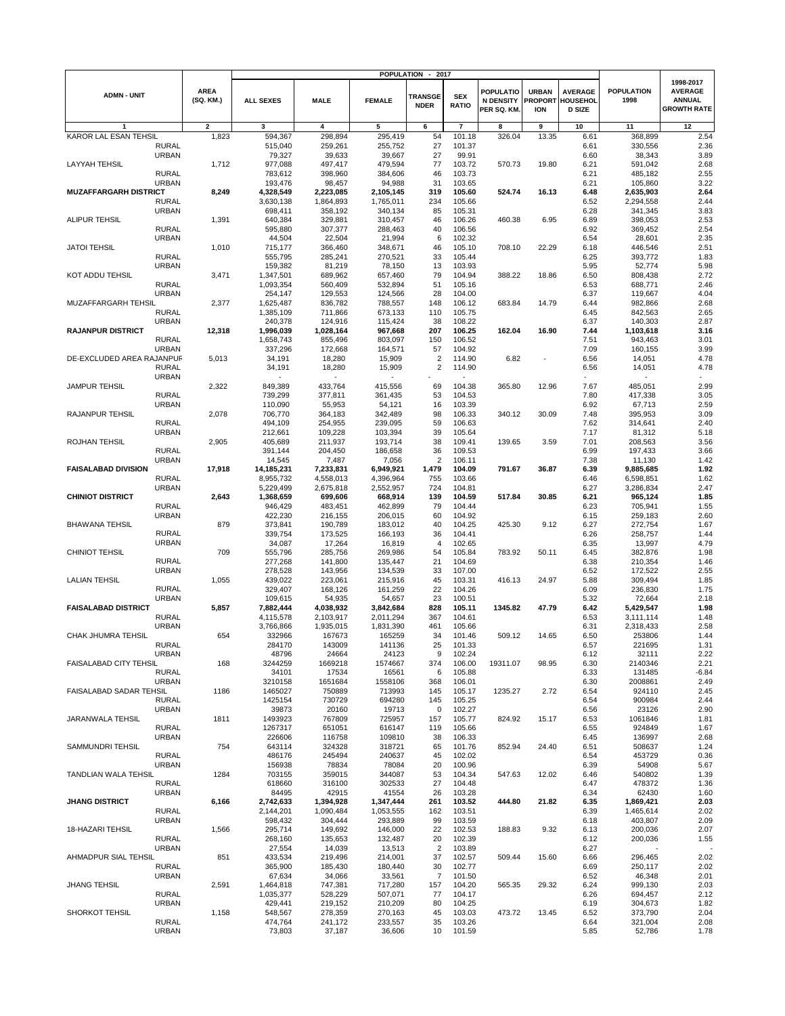|                              | <b>POPULATION</b><br>2017<br>$\blacksquare$ |                          |                    |                   |                   |                               |                            |                                              |                                       |                                                    |                           |                                                                    |
|------------------------------|---------------------------------------------|--------------------------|--------------------|-------------------|-------------------|-------------------------------|----------------------------|----------------------------------------------|---------------------------------------|----------------------------------------------------|---------------------------|--------------------------------------------------------------------|
| <b>ADMN - UNIT</b>           |                                             | <b>AREA</b><br>(SQ. KM.) | <b>ALL SEXES</b>   | <b>MALE</b>       | <b>FEMALE</b>     | <b>TRANSGE</b><br><b>NDER</b> | <b>SEX</b><br><b>RATIO</b> | <b>POPULATIO</b><br>N DENSITY<br>PER SQ. KM. | URBAN<br><b>PROPORT</b><br><b>ION</b> | <b>AVERAGE</b><br><b>HOUSEHOL</b><br><b>D SIZE</b> | <b>POPULATION</b><br>1998 | 1998-2017<br><b>AVERAGE</b><br><b>ANNUAL</b><br><b>GROWTH RATE</b> |
|                              |                                             | $\overline{\mathbf{2}}$  | 3                  | 4                 | 5                 | 6                             | $\overline{7}$             | 8                                            | 9                                     | 10                                                 | 11                        | 12                                                                 |
| KAROR LAL ESAN TEHSIL        |                                             | 1,823                    | 594,367            | 298,894           | 295,419           | 54                            | 101.18                     | 326.04                                       | 13.35                                 | 6.61                                               | 368,899                   | 2.54                                                               |
|                              | <b>RURAL</b>                                |                          | 515,040            | 259,261           | 255,752           | 27                            | 101.37                     |                                              |                                       | 6.61                                               | 330,556                   | 2.36                                                               |
|                              | <b>URBAN</b>                                |                          | 79,327             | 39,633            | 39,667            | 27                            | 99.91                      |                                              |                                       | 6.60                                               | 38,343                    | 3.89                                                               |
| <b>LAYYAH TEHSIL</b>         |                                             | 1,712                    | 977,088            | 497,417           | 479,594           | 77                            | 103.72                     | 570.73                                       | 19.80                                 | 6.21                                               | 591,042                   | 2.68                                                               |
|                              | <b>RURAL</b>                                |                          | 783,612            | 398,960           | 384,606           | 46                            | 103.73                     |                                              |                                       | 6.21                                               | 485,182                   | 2.55                                                               |
|                              | <b>URBAN</b>                                |                          | 193,476            | 98,457            | 94,988            | 31                            | 103.65                     |                                              |                                       | 6.21                                               | 105,860                   | 3.22                                                               |
| <b>MUZAFFARGARH DISTRICT</b> |                                             | 8,249                    | 4,328,549          | 2,223,085         | 2,105,145         | 319                           | 105.60                     | 524.74                                       | 16.13                                 | 6.48                                               | 2,635,903                 | 2.64                                                               |
|                              | <b>RURAL</b>                                |                          | 3,630,138          | 1,864,893         | 1,765,011         | 234                           | 105.66                     |                                              |                                       | 6.52                                               | 2,294,558                 | 2.44                                                               |
|                              | <b>URBAN</b>                                |                          | 698,411            | 358,192           | 340,134           | 85                            | 105.31                     |                                              |                                       | 6.28                                               | 341,345                   | 3.83                                                               |
| ALIPUR TEHSIL                |                                             | 1,391                    | 640,384            | 329,881           | 310,457           | 46                            | 106.26                     | 460.38                                       | 6.95                                  | 6.89                                               | 398,053                   | 2.53                                                               |
|                              | <b>RURAL</b>                                |                          | 595,880            | 307,377           | 288,463           | 40                            | 106.56                     |                                              |                                       | 6.92                                               | 369,452                   | 2.54                                                               |
|                              | <b>URBAN</b>                                |                          | 44,504             | 22,504            | 21,994            | 6                             | 102.32                     |                                              |                                       | 6.54                                               | 28,601                    | 2.35                                                               |
| <b>JATOI TEHSIL</b>          |                                             | 1,010                    | 715,177            | 366,460           | 348,671           | 46                            | 105.10                     | 708.10                                       | 22.29                                 | 6.18                                               | 446,546                   | 2.51                                                               |
|                              | <b>RURAL</b>                                |                          | 555,795            | 285,241           | 270,521           | 33                            | 105.44                     |                                              |                                       | 6.25                                               | 393,772                   | 1.83                                                               |
|                              | <b>URBAN</b>                                |                          | 159,382            | 81,219            | 78,150            | 13                            | 103.93                     |                                              |                                       | 5.95                                               | 52,774                    | 5.98                                                               |
| KOT ADDU TEHSIL              |                                             | 3,471                    | 1,347,501          | 689,962           | 657,460           | 79                            | 104.94                     | 388.22                                       | 18.86                                 | 6.50                                               | 808,438                   | 2.72                                                               |
|                              | <b>RURAL</b>                                |                          | 1,093,354          | 560,409           | 532,894           | 51                            | 105.16                     |                                              |                                       | 6.53                                               | 688,771                   | 2.46                                                               |
|                              | <b>URBAN</b>                                |                          | 254,147            | 129,553           | 124,566           | 28                            | 104.00                     |                                              |                                       | 6.37                                               | 119,667                   | 4.04                                                               |
| MUZAFFARGARH TEHSIL          |                                             | 2,377                    | 1,625,487          | 836,782           | 788,557           | 148                           | 106.12                     | 683.84                                       | 14.79                                 | 6.44                                               | 982,866                   | 2.68                                                               |
|                              | <b>RURAL</b>                                |                          | 1,385,109          | 711,866           | 673,133           | 110                           | 105.75                     |                                              |                                       | 6.45                                               | 842,563                   | 2.65                                                               |
|                              | <b>URBAN</b>                                |                          | 240,378            | 124,916           | 115,424           | 38                            | 108.22                     |                                              |                                       | 6.37                                               | 140,303                   | 2.87                                                               |
| <b>RAJANPUR DISTRICT</b>     |                                             | 12,318                   | 1,996,039          | 1,028,164         | 967,668           | 207                           | 106.25                     | 162.04                                       | 16.90                                 | 7.44                                               | 1,103,618                 | 3.16                                                               |
|                              | <b>RURAL</b>                                |                          | 1,658,743          | 855,496           | 803,097           | 150                           | 106.52                     |                                              |                                       | 7.51                                               | 943,463                   | 3.01                                                               |
|                              | <b>URBAN</b>                                |                          | 337,296            | 172,668           | 164,571           | 57                            | 104.92                     |                                              |                                       | 7.09                                               | 160,155                   | 3.99                                                               |
| DE-EXCLUDED AREA RAJANPUF    |                                             | 5,013                    | 34,191             | 18,280            | 15,909            | $\overline{2}$                | 114.90                     | 6.82                                         |                                       | 6.56                                               | 14,051                    | 4.78                                                               |
|                              | <b>RURAL</b>                                |                          | 34,191             | 18,280            | 15,909            | 2                             | 114.90                     |                                              |                                       | 6.56                                               | 14,051                    | 4.78                                                               |
| <b>JAMPUR TEHSIL</b>         | <b>URBAN</b>                                |                          | 849,389            | 433,764           | 415,556           | 69                            | 104.38                     | 365.80                                       | 12.96                                 |                                                    | 485,051                   | 2.99                                                               |
|                              |                                             | 2,322                    |                    |                   |                   |                               |                            |                                              |                                       | 7.67                                               |                           |                                                                    |
|                              | <b>RURAL</b><br><b>URBAN</b>                |                          | 739,299            | 377,811<br>55,953 | 361,435           | 53<br>16                      | 104.53                     |                                              |                                       | 7.80<br>6.92                                       | 417,338<br>67,713         | 3.05<br>2.59                                                       |
| RAJANPUR TEHSIL              |                                             | 2,078                    | 110,090<br>706,770 | 364,183           | 54,121<br>342,489 | 98                            | 103.39<br>106.33           | 340.12                                       | 30.09                                 | 7.48                                               | 395,953                   | 3.09                                                               |
|                              | <b>RURAL</b>                                |                          | 494,109            | 254,955           | 239,095           | 59                            | 106.63                     |                                              |                                       | 7.62                                               | 314,641                   | 2.40                                                               |
|                              | <b>URBAN</b>                                |                          | 212,661            | 109,228           | 103,394           | 39                            | 105.64                     |                                              |                                       | 7.17                                               | 81,312                    | 5.18                                                               |
| ROJHAN TEHSIL                |                                             | 2,905                    | 405,689            | 211,937           | 193,714           | 38                            | 109.41                     | 139.65                                       | 3.59                                  | 7.01                                               | 208,563                   | 3.56                                                               |
|                              | <b>RURAL</b>                                |                          | 391,144            | 204,450           | 186,658           | 36                            | 109.53                     |                                              |                                       | 6.99                                               | 197,433                   | 3.66                                                               |
|                              | URBAN                                       |                          | 14,545             | 7,487             | 7,056             | $\overline{2}$                | 106.11                     |                                              |                                       | 7.38                                               | 11,130                    | 1.42                                                               |
| <b>FAISALABAD DIVISION</b>   |                                             | 17,918                   | 14,185,231         | 7,233,831         | 6,949,921         | 1,479                         | 104.09                     | 791.67                                       | 36.87                                 | 6.39                                               | 9,885,685                 | 1.92                                                               |
|                              | <b>RURAL</b>                                |                          | 8,955,732          | 4,558,013         | 4,396,964         | 755                           | 103.66                     |                                              |                                       | 6.46                                               | 6,598,851                 | 1.62                                                               |
|                              | <b>URBAN</b>                                |                          | 5,229,499          | 2,675,818         | 2,552,957         | 724                           | 104.81                     |                                              |                                       | 6.27                                               | 3,286,834                 | 2.47                                                               |
| <b>CHINIOT DISTRICT</b>      |                                             | 2,643                    | 1,368,659          | 699,606           | 668,914           | 139                           | 104.59                     | 517.84                                       | 30.85                                 | 6.21                                               | 965,124                   | 1.85                                                               |
|                              | <b>RURAL</b>                                |                          | 946,429            | 483,451           | 462,899           | 79                            | 104.44                     |                                              |                                       | 6.23                                               | 705,941                   | 1.55                                                               |
|                              | <b>URBAN</b>                                |                          | 422,230            | 216,155           | 206,015           | 60                            | 104.92                     |                                              |                                       | 6.15                                               | 259,183                   | 2.60                                                               |
| <b>BHAWANA TEHSIL</b>        |                                             | 879                      | 373,841            | 190,789           | 183,012           | 40                            | 104.25                     | 425.30                                       | 9.12                                  | 6.27                                               | 272,754                   | 1.67                                                               |
|                              | <b>RURAL</b>                                |                          | 339,754            | 173,525           | 166,193           | 36                            | 104.41                     |                                              |                                       | 6.26                                               | 258,757                   | 1.44                                                               |
|                              | <b>URBAN</b>                                |                          | 34,087             | 17,264            | 16,819            | 4                             | 102.65                     |                                              |                                       | 6.35                                               | 13,997                    | 4.79                                                               |
| CHINIOT TEHSIL               |                                             | 709                      | 555,796            | 285,756           | 269,986           | 54                            | 105.84                     | 783.92                                       | 50.11                                 | 6.45                                               | 382,876                   | 1.98                                                               |
|                              | <b>RURAL</b>                                |                          | 277,268            | 141,800           | 135,447           | 21                            | 104.69                     |                                              |                                       | 6.38                                               | 210,354                   | 1.46                                                               |
|                              | <b>URBAN</b>                                |                          | 278,528            | 143,956           | 134,539           | 33                            | 107.00                     |                                              |                                       | 6.52                                               | 172,522                   | 2.55                                                               |
| <b>LALIAN TEHSIL</b>         |                                             | 1,055                    | 439,022            | 223,061           | 215,916           | 45                            | 103.31                     | 416.13                                       | 24.97                                 | 5.88                                               | 309,494                   | 1.85                                                               |
|                              | <b>RURAL</b>                                |                          | 329,407            | 168,126           | 161,259           | 22                            | 104.26                     |                                              |                                       | 6.09                                               | 236,830                   | 1.75                                                               |
|                              | <b>URBAN</b>                                |                          | 109,615            | 54,935            | 54,657            | 23                            | 100.51                     |                                              |                                       | 5.32                                               | 72,664                    | 2.18                                                               |
| <b>FAISALABAD DISTRICT</b>   |                                             | 5,857                    | 7,882,444          | 4,038,932         | 3,842,684         | 828                           | 105.11                     | 1345.82                                      | 47.79                                 | 6.42                                               | 5,429,547                 | 1.98                                                               |
|                              | <b>RURAL</b>                                |                          | 4,115,578          | 2,103,917         | 2,011,294         | 367                           | 104.61                     |                                              |                                       | 6.53                                               | 3,111,114                 | 1.48                                                               |
|                              | <b>URBAN</b>                                |                          | 3,766,866          | 1,935,015         | 1,831,390         | 461                           | 105.66                     |                                              |                                       | 6.31                                               | 2,318,433                 | 2.58                                                               |
| CHAK JHUMRA TEHSIL           |                                             | 654                      | 332966             | 167673            | 165259            | 34                            | 101.46                     | 509.12                                       | 14.65                                 | 6.50                                               | 253806                    | 1.44                                                               |
|                              | <b>RURAL</b>                                |                          | 284170             | 143009            | 141136            | 25                            | 101.33                     |                                              |                                       | 6.57                                               | 221695                    | 1.31                                                               |
|                              | <b>URBAN</b>                                |                          | 48796              | 24664             | 24123             | 9                             | 102.24                     |                                              |                                       | 6.12                                               | 32111                     | 2.22                                                               |
| FAISALABAD CITY TEHSIL       |                                             | 168                      | 3244259            | 1669218           | 1574667           | 374                           | 106.00                     | 19311.07                                     | 98.95                                 | 6.30                                               | 2140346                   | 2.21                                                               |
|                              | <b>RURAL</b>                                |                          | 34101              | 17534             | 16561             | 6                             | 105.88                     |                                              |                                       | 6.33                                               | 131485                    | $-6.84$                                                            |
|                              | <b>URBAN</b>                                |                          | 3210158            | 1651684           | 1558106           | 368                           | 106.01                     |                                              |                                       | 6.30                                               | 2008861                   | 2.49                                                               |
| FAISALABAD SADAR TEHSIL      |                                             | 1186                     | 1465027            | 750889            | 713993            | 145                           | 105.17                     | 1235.27                                      | 2.72                                  | 6.54                                               | 924110                    | 2.45                                                               |
|                              | RURAL                                       |                          | 1425154            | 730729            | 694280            | 145                           | 105.25                     |                                              |                                       | 6.54                                               | 900984                    | 2.44                                                               |
|                              | <b>URBAN</b>                                |                          | 39873              | 20160             | 19713             | 0                             | 102.27                     |                                              |                                       | 6.56                                               | 23126                     | 2.90                                                               |
| JARANWALA TEHSIL             |                                             | 1811                     | 1493923            | 767809            | 725957            | 157                           | 105.77                     | 824.92                                       | 15.17                                 | 6.53                                               | 1061846                   | 1.81                                                               |
|                              | <b>RURAL</b><br><b>URBAN</b>                |                          | 1267317<br>226606  | 651051<br>116758  | 616147<br>109810  | 119<br>38                     | 105.66<br>106.33           |                                              |                                       | 6.55                                               | 924849<br>136997          | 1.67                                                               |
| SAMMUNDRI TEHSIL             |                                             | 754                      | 643114             | 324328            |                   | 65                            | 101.76                     | 852.94                                       | 24.40                                 | 6.45<br>6.51                                       | 508637                    | 2.68<br>1.24                                                       |
|                              | <b>RURAL</b>                                |                          | 486176             | 245494            | 318721<br>240637  | 45                            | 102.02                     |                                              |                                       | 6.54                                               |                           | 0.36                                                               |
|                              | <b>URBAN</b>                                |                          | 156938             | 78834             | 78084             | 20                            | 100.96                     |                                              |                                       | 6.39                                               | 453729<br>54908           | 5.67                                                               |
| TANDLIAN WALA TEHSIL         |                                             | 1284                     | 703155             | 359015            | 344087            | 53                            | 104.34                     | 547.63                                       | 12.02                                 | 6.46                                               | 540802                    | 1.39                                                               |
|                              | <b>RURAL</b>                                |                          | 618660             | 316100            | 302533            | 27                            | 104.48                     |                                              |                                       | 6.47                                               | 478372                    | 1.36                                                               |
|                              | <b>URBAN</b>                                |                          | 84495              | 42915             | 41554             | 26                            | 103.28                     |                                              |                                       | 6.34                                               | 62430                     | 1.60                                                               |
| <b>JHANG DISTRICT</b>        |                                             | 6,166                    | 2,742,633          | 1,394,928         | 1,347,444         | 261                           | 103.52                     | 444.80                                       | 21.82                                 | 6.35                                               | 1,869,421                 | 2.03                                                               |
|                              | <b>RURAL</b>                                |                          | 2,144,201          | 1,090,484         | 1,053,555         | 162                           | 103.51                     |                                              |                                       | 6.39                                               | 1,465,614                 | 2.02                                                               |
|                              | <b>URBAN</b>                                |                          | 598,432            | 304,444           | 293,889           | 99                            | 103.59                     |                                              |                                       | 6.18                                               | 403,807                   | 2.09                                                               |
| 18-HAZARI TEHSIL             |                                             | 1,566                    | 295,714            | 149,692           | 146,000           | 22                            | 102.53                     | 188.83                                       | 9.32                                  | 6.13                                               | 200,036                   | 2.07                                                               |
|                              | RURAL                                       |                          | 268,160            | 135,653           | 132,487           | 20                            | 102.39                     |                                              |                                       | 6.12                                               | 200,036                   | 1.55                                                               |
|                              | <b>URBAN</b>                                |                          | 27,554             | 14,039            | 13,513            | $\overline{2}$                | 103.89                     |                                              |                                       | 6.27                                               |                           |                                                                    |
| AHMADPUR SIAL TEHSIL         |                                             | 851                      | 433,534            | 219,496           | 214,001           | 37                            | 102.57                     | 509.44                                       | 15.60                                 | 6.66                                               | 296,465                   | 2.02                                                               |
|                              | <b>RURAL</b>                                |                          | 365,900            | 185,430           | 180,440           | 30                            | 102.77                     |                                              |                                       | 6.69                                               | 250,117                   | 2.02                                                               |
|                              | <b>URBAN</b>                                |                          | 67,634             | 34,066            | 33,561            | $\overline{7}$                | 101.50                     |                                              |                                       | 6.52                                               | 46,348                    | 2.01                                                               |
| <b>JHANG TEHSIL</b>          |                                             | 2,591                    | 1,464,818          | 747,381           | 717,280           | 157                           | 104.20                     | 565.35                                       | 29.32                                 | 6.24                                               | 999,130                   | 2.03                                                               |
|                              | <b>RURAL</b>                                |                          | 1,035,377          | 528,229           | 507,071           | 77                            | 104.17                     |                                              |                                       | 6.26                                               | 694,457                   | 2.12                                                               |
|                              | <b>URBAN</b>                                |                          | 429,441            | 219,152           | 210,209           | 80                            | 104.25                     |                                              |                                       | 6.19                                               | 304,673                   | 1.82                                                               |
| SHORKOT TEHSIL               |                                             | 1,158                    | 548,567            | 278,359           | 270,163           | 45                            | 103.03                     | 473.72                                       | 13.45                                 | 6.52                                               | 373,790                   | 2.04                                                               |
|                              | <b>RURAL</b>                                |                          | 474,764            | 241,172           | 233,557           | 35                            | 103.26                     |                                              |                                       | 6.64                                               | 321,004                   | 2.08                                                               |
|                              | <b>URBAN</b>                                |                          | 73,803             | 37,187            | 36,606            | 10                            | 101.59                     |                                              |                                       | 5.85                                               | 52,786                    | 1.78                                                               |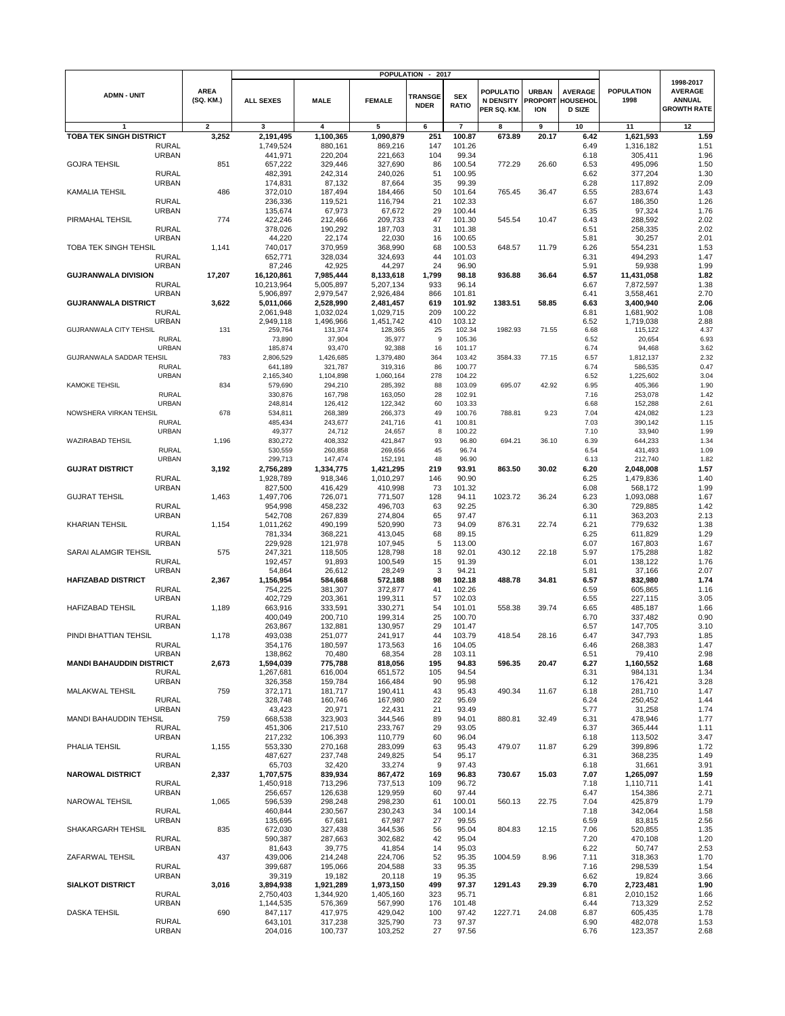|                                                 |                          |                         |                         | <b>POPULATION</b>      | 2017<br>$\blacksquare$        |                            |                                                     |                                              |                                             |                           |                                                                    |
|-------------------------------------------------|--------------------------|-------------------------|-------------------------|------------------------|-------------------------------|----------------------------|-----------------------------------------------------|----------------------------------------------|---------------------------------------------|---------------------------|--------------------------------------------------------------------|
| <b>ADMN - UNIT</b>                              | <b>AREA</b><br>(SQ. KM.) | <b>ALL SEXES</b>        | <b>MALE</b>             | <b>FEMALE</b>          | <b>TRANSGE</b><br><b>NDER</b> | <b>SEX</b><br><b>RATIO</b> | <b>POPULATIO</b><br><b>N DENSITY</b><br>PER SQ. KM. | <b>URBAN</b><br><b>PROPORT</b><br><b>ION</b> | <b>AVERAGE</b><br>HOUSEHOL<br><b>D SIZE</b> | <b>POPULATION</b><br>1998 | 1998-2017<br><b>AVERAGE</b><br><b>ANNUAL</b><br><b>GROWTH RATE</b> |
| 1                                               | $\overline{\mathbf{2}}$  | 3                       | $\overline{\mathbf{4}}$ | 5                      | 6                             | $\overline{7}$             | 8                                                   | 9                                            | 10                                          | 11                        | 12                                                                 |
| TOBA TEK SINGH DISTRICT                         | 3,252                    | 2,191,495               | 1,100,365               | 1,090,879              | 251                           | 100.87                     | 673.89                                              | 20.17                                        | 6.42                                        | 1,621,593                 | 1.59                                                               |
| <b>RURAL</b>                                    |                          | 1,749,524               | 880,161                 | 869,216                | 147                           | 101.26                     |                                                     |                                              | 6.49                                        | 1,316,182                 | 1.51                                                               |
| <b>URBAN</b>                                    |                          | 441,971                 | 220,204                 | 221,663                | 104                           | 99.34                      |                                                     |                                              | 6.18                                        | 305,411                   | 1.96                                                               |
| <b>GOJRA TEHSIL</b>                             | 851                      | 657,222                 | 329,446                 | 327,690                | 86                            | 100.54                     | 772.29                                              | 26.60                                        | 6.53                                        | 495,096                   | 1.50                                                               |
| <b>RURAL</b>                                    |                          | 482,391                 | 242,314                 | 240,026                | 51                            | 100.95                     |                                                     |                                              | 6.62                                        | 377,204                   | 1.30                                                               |
| <b>URBAN</b>                                    |                          | 174,831                 | 87,132                  | 87,664                 | 35                            | 99.39                      |                                                     |                                              | 6.28                                        | 117,892                   | 2.09                                                               |
| <b>KAMALIA TEHSIL</b><br><b>RURAL</b>           | 486                      | 372,010<br>236,336      | 187,494<br>119,521      | 184,466<br>116,794     | 50<br>21                      | 101.64<br>102.33           | 765.45                                              | 36.47                                        | 6.55<br>6.67                                | 283,674<br>186,350        | 1.43<br>1.26                                                       |
| <b>URBAN</b>                                    |                          | 135,674                 | 67,973                  | 67,672                 | 29                            | 100.44                     |                                                     |                                              | 6.35                                        | 97,324                    | 1.76                                                               |
| PIRMAHAL TEHSIL                                 | 774                      | 422,246                 | 212,466                 | 209,733                | 47                            | 101.30                     | 545.54                                              | 10.47                                        | 6.43                                        | 288,592                   | 2.02                                                               |
| <b>RURAL</b>                                    |                          | 378,026                 | 190,292                 | 187,703                | 31                            | 101.38                     |                                                     |                                              | 6.51                                        | 258,335                   | 2.02                                                               |
| <b>URBAN</b>                                    |                          | 44,220                  | 22,174                  | 22,030                 | 16                            | 100.65                     |                                                     |                                              | 5.81                                        | 30,257                    | 2.01                                                               |
| <b>TOBA TEK SINGH TEHSIL</b>                    | 1,141                    | 740,017                 | 370,959                 | 368,990                | 68                            | 100.53                     | 648.57                                              | 11.79                                        | 6.26                                        | 554,231                   | 1.53                                                               |
| <b>RURAL</b>                                    |                          | 652,771                 | 328,034                 | 324,693                | 44                            | 101.03                     |                                                     |                                              | 6.31                                        | 494,293                   | 1.47                                                               |
| <b>URBAN</b>                                    |                          | 87,246                  | 42,925                  | 44,297                 | 24                            | 96.90                      |                                                     |                                              | 5.91                                        | 59,938                    | 1.99                                                               |
| <b>GUJRANWALA DIVISION</b>                      | 17,207                   | 16,120,861              | 7,985,444               | 8,133,618              | 1,799                         | 98.18                      | 936.88                                              | 36.64                                        | 6.57                                        | 11,431,058                | 1.82                                                               |
| <b>RURAL</b><br><b>URBAN</b>                    |                          | 10,213,964<br>5,906,897 | 5,005,897<br>2,979,547  | 5,207,134<br>2,926,484 | 933<br>866                    | 96.14<br>101.81            |                                                     |                                              | 6.67<br>6.41                                | 7,872,597<br>3,558,461    | 1.38<br>2.70                                                       |
| <b>GUJRANWALA DISTRICT</b>                      | 3,622                    | 5,011,066               | 2,528,990               | 2,481,457              | 619                           | 101.92                     | 1383.51                                             | 58.85                                        | 6.63                                        | 3,400,940                 | 2.06                                                               |
| <b>RURAL</b>                                    |                          | 2,061,948               | 1,032,024               | 1,029,715              | 209                           | 100.22                     |                                                     |                                              | 6.81                                        | 1,681,902                 | 1.08                                                               |
| <b>URBAN</b>                                    |                          | 2,949,118               | 1,496,966               | 1,451,742              | 410                           | 103.12                     |                                                     |                                              | 6.52                                        | 1,719,038                 | 2.88                                                               |
| <b>GUJRANWALA CITY TEHSIL</b>                   | 131                      | 259,764                 | 131,374                 | 128,365                | 25                            | 102.34                     | 1982.93                                             | 71.55                                        | 6.68                                        | 115,122                   | 4.37                                                               |
| <b>RURAL</b>                                    |                          | 73,890                  | 37,904                  | 35,977                 | 9                             | 105.36                     |                                                     |                                              | 6.52                                        | 20,654                    | 6.93                                                               |
| <b>URBAN</b>                                    |                          | 185,874                 | 93,470                  | 92,388                 | 16                            | 101.17                     |                                                     |                                              | 6.74                                        | 94,468                    | 3.62                                                               |
| GUJRANWALA SADDAR TEHSIL                        | 783                      | 2,806,529               | 1,426,685               | 1,379,480              | 364                           | 103.42                     | 3584.33                                             | 77.15                                        | 6.57                                        | 1,812,137                 | 2.32                                                               |
| <b>RURAL</b>                                    |                          | 641,189                 | 321,787                 | 319,316                | 86                            | 100.77                     |                                                     |                                              | 6.74                                        | 586,535                   | 0.47                                                               |
| <b>URBAN</b><br><b>KAMOKE TEHSIL</b>            | 834                      | 2,165,340<br>579,690    | 1,104,898<br>294,210    | 1,060,164<br>285,392   | 278<br>88                     | 104.22<br>103.09           | 695.07                                              | 42.92                                        | 6.52<br>6.95                                | 1,225,602<br>405,366      | 3.04<br>1.90                                                       |
| <b>RURAL</b>                                    |                          | 330,876                 | 167,798                 | 163,050                | 28                            | 102.91                     |                                                     |                                              | 7.16                                        | 253,078                   | 1.42                                                               |
| <b>URBAN</b>                                    |                          | 248,814                 | 126,412                 | 122,342                | 60                            | 103.33                     |                                                     |                                              | 6.68                                        | 152,288                   | 2.61                                                               |
| NOWSHERA VIRKAN TEHSIL                          | 678                      | 534,811                 | 268,389                 | 266,373                | 49                            | 100.76                     | 788.81                                              | 9.23                                         | 7.04                                        | 424,082                   | 1.23                                                               |
| <b>RURAL</b>                                    |                          | 485,434                 | 243,677                 | 241,716                | 41                            | 100.81                     |                                                     |                                              | 7.03                                        | 390,142                   | 1.15                                                               |
| <b>URBAN</b>                                    |                          | 49,377                  | 24,712                  | 24,657                 | 8                             | 100.22                     |                                                     |                                              | 7.10                                        | 33,940                    | 1.99                                                               |
| WAZIRABAD TEHSIL                                | 1,196                    | 830,272                 | 408,332                 | 421,847                | 93                            | 96.80                      | 694.21                                              | 36.10                                        | 6.39                                        | 644,233                   | 1.34                                                               |
| <b>RURAL</b>                                    |                          | 530,559                 | 260,858                 | 269,656                | 45                            | 96.74                      |                                                     |                                              | 6.54                                        | 431,493                   | 1.09                                                               |
| <b>URBAN</b>                                    |                          | 299,713                 | 147,474                 | 152,191                | 48                            | 96.90                      |                                                     |                                              | 6.13                                        | 212,740                   | 1.82                                                               |
| <b>GUJRAT DISTRICT</b>                          | 3,192                    | 2,756,289               | 1,334,775               | 1,421,295              | 219                           | 93.91                      | 863.50                                              | 30.02                                        | 6.20                                        | 2,048,008                 | 1.57                                                               |
| <b>RURAL</b><br><b>URBAN</b>                    |                          | 1,928,789<br>827,500    | 918,346<br>416,429      | 1,010,297<br>410,998   | 146<br>73                     | 90.90<br>101.32            |                                                     |                                              | 6.25<br>6.08                                | 1,479,836<br>568,172      | 1.40<br>1.99                                                       |
| <b>GUJRAT TEHSIL</b>                            | 1,463                    | 1,497,706               | 726,071                 | 771,507                | 128                           | 94.11                      | 1023.72                                             | 36.24                                        | 6.23                                        | 1,093,088                 | 1.67                                                               |
| <b>RURAL</b>                                    |                          | 954,998                 | 458,232                 | 496,703                | 63                            | 92.25                      |                                                     |                                              | 6.30                                        | 729,885                   | 1.42                                                               |
| <b>URBAN</b>                                    |                          | 542,708                 | 267,839                 | 274,804                | 65                            | 97.47                      |                                                     |                                              | 6.11                                        | 363,203                   | 2.13                                                               |
| <b>KHARIAN TEHSIL</b>                           | 1,154                    | 1,011,262               | 490,199                 | 520,990                | 73                            | 94.09                      | 876.31                                              | 22.74                                        | 6.21                                        | 779,632                   | 1.38                                                               |
| <b>RURAL</b>                                    |                          | 781,334                 | 368,221                 | 413,045                | 68                            | 89.15                      |                                                     |                                              | 6.25                                        | 611,829                   | 1.29                                                               |
| <b>URBAN</b>                                    |                          | 229,928                 | 121,978                 | 107,945                | 5                             | 113.00                     |                                                     |                                              | 6.07                                        | 167,803                   | 1.67                                                               |
| SARAI ALAMGIR TEHSIL                            | 575                      | 247,321                 | 118,505                 | 128,798                | 18                            | 92.01                      | 430.12                                              | 22.18                                        | 5.97                                        | 175,288                   | 1.82                                                               |
| <b>RURAL</b>                                    |                          | 192,457                 | 91,893                  | 100,549                | 15                            | 91.39                      |                                                     |                                              | 6.01                                        | 138,122                   | 1.76                                                               |
| URBAN                                           |                          | 54,864                  | 26,612                  | 28,249                 | 3                             | 94.21                      |                                                     |                                              | 5.81                                        | 37,166                    | 2.07                                                               |
| <b>HAFIZABAD DISTRICT</b><br><b>RURAL</b>       | 2,367                    | 1,156,954<br>754,225    | 584,668<br>381,307      | 572,188<br>372,877     | 98<br>41                      | 102.18<br>102.26           | 488.78                                              | 34.81                                        | 6.57<br>6.59                                | 832,980<br>605,865        | 1.74<br>1.16                                                       |
| <b>URBAN</b>                                    |                          | 402,729                 | 203,361                 | 199,311                | 57                            | 102.03                     |                                                     |                                              | 6.55                                        | 227,115                   | 3.05                                                               |
| <b>HAFIZABAD TEHSIL</b>                         | 1,189                    | 663,916                 | 333,591                 | 330,271                | 54                            | 101.01                     | 558.38                                              | 39.74                                        | 6.65                                        | 485,187                   | 1.66                                                               |
| <b>RURAL</b>                                    |                          | 400,049                 | 200,710                 | 199,314                | 25                            | 100.70                     |                                                     |                                              | 6.70                                        | 337,482                   | 0.90                                                               |
| <b>URBAN</b>                                    |                          | 263,867                 | 132,881                 | 130,957                | 29                            | 101.47                     |                                                     |                                              | 6.57                                        | 147,705                   | 3.10                                                               |
| PINDI BHATTIAN TEHSIL                           | 1,178                    | 493,038                 | 251,077                 | 241,917                | 44                            | 103.79                     | 418.54                                              | 28.16                                        | 6.47                                        | 347,793                   | 1.85                                                               |
| <b>RURAL</b>                                    |                          | 354,176                 | 180,597                 | 173,563                | 16                            | 104.05                     |                                                     |                                              | 6.46                                        | 268,383                   | 1.41                                                               |
| <b>URBAN</b>                                    |                          | 138,862                 | 70,480                  | 68,354                 | 28                            | 103.11                     |                                                     |                                              | 6.51                                        | 79,410                    | 2.98                                                               |
| <b>MANDI BAHAUDDIN DISTRICT</b><br><b>RURAL</b> | 2,673                    | 1,594,039               | 775,788                 | 818,056                | 195                           | 94.83                      | 596.35                                              | 20.47                                        | 6.27                                        | 1,160,552                 | 1.68                                                               |
| <b>URBAN</b>                                    |                          | 1,267,681<br>326,358    | 616,004<br>159,784      | 651,572<br>166,484     | 105<br>90                     | 94.54<br>95.98             |                                                     |                                              | 6.31<br>6.12                                | 984,131<br>176,421        | 1.34<br>3.28                                                       |
| MALAKWAL TEHSIL                                 | 759                      | 372,171                 | 181,717                 | 190,411                | 43                            | 95.43                      | 490.34                                              | 11.67                                        | 6.18                                        | 281,710                   | 1.47                                                               |
| <b>RURAL</b>                                    |                          | 328,748                 | 160,746                 | 167,980                | 22                            | 95.69                      |                                                     |                                              | 6.24                                        | 250,452                   | 1.44                                                               |
| <b>URBAN</b>                                    |                          | 43,423                  | 20,971                  | 22,431                 | 21                            | 93.49                      |                                                     |                                              | 5.77                                        | 31,258                    | 1.74                                                               |
| MANDI BAHAUDDIN TEHSIL                          | 759                      | 668,538                 | 323,903                 | 344,546                | 89                            | 94.01                      | 880.81                                              | 32.49                                        | 6.31                                        | 478,946                   | 1.77                                                               |
| <b>RURAL</b>                                    |                          | 451,306                 | 217,510                 | 233,767                | 29                            | 93.05                      |                                                     |                                              | 6.37                                        | 365,444                   | 1.11                                                               |
| <b>URBAN</b>                                    |                          | 217,232                 | 106,393                 | 110,779                | 60                            | 96.04                      |                                                     |                                              | 6.18                                        | 113,502                   | 3.47                                                               |
| PHALIA TEHSIL                                   | 1,155                    | 553,330                 | 270,168                 | 283,099                | 63                            | 95.43                      | 479.07                                              | 11.87                                        | 6.29                                        | 399,896                   | 1.72                                                               |
| <b>RURAL</b>                                    |                          | 487,627                 | 237,748                 | 249,825                | 54                            | 95.17                      |                                                     |                                              | 6.31                                        | 368,235                   | 1.49                                                               |
| <b>URBAN</b><br><b>NAROWAL DISTRICT</b>         | 2,337                    | 65,703<br>1,707,575     | 32,420<br>839,934       | 33,274<br>867,472      | 9<br>169                      | 97.43<br>96.83             | 730.67                                              | 15.03                                        | 6.18<br>7.07                                | 31,661<br>1,265,097       | 3.91<br>1.59                                                       |
| <b>RURAL</b>                                    |                          | 1,450,918               | 713,296                 | 737,513                | 109                           | 96.72                      |                                                     |                                              | 7.18                                        | 1,110,711                 | 1.41                                                               |
| <b>URBAN</b>                                    |                          | 256,657                 | 126,638                 | 129,959                | 60                            | 97.44                      |                                                     |                                              | 6.47                                        | 154,386                   | 2.71                                                               |
| NAROWAL TEHSIL                                  | 1,065                    | 596,539                 | 298,248                 | 298,230                | 61                            | 100.01                     | 560.13                                              | 22.75                                        | 7.04                                        | 425,879                   | 1.79                                                               |
| <b>RURAL</b>                                    |                          | 460,844                 | 230,567                 | 230,243                | 34                            | 100.14                     |                                                     |                                              | 7.18                                        | 342,064                   | 1.58                                                               |
| <b>URBAN</b>                                    |                          | 135,695                 | 67,681                  | 67,987                 | 27                            | 99.55                      |                                                     |                                              | 6.59                                        | 83,815                    | 2.56                                                               |
| SHAKARGARH TEHSIL                               | 835                      | 672,030                 | 327,438                 | 344,536                | 56                            | 95.04                      | 804.83                                              | 12.15                                        | 7.06                                        | 520,855                   | 1.35                                                               |
| <b>RURAL</b>                                    |                          | 590,387                 | 287,663                 | 302,682                | 42                            | 95.04                      |                                                     |                                              | 7.20                                        | 470,108                   | 1.20                                                               |
| <b>URBAN</b>                                    |                          | 81,643                  | 39,775                  | 41,854                 | 14                            | 95.03                      |                                                     |                                              | 6.22                                        | 50,747                    | 2.53                                                               |
| ZAFARWAL TEHSIL                                 | 437                      | 439,006                 | 214,248<br>195,066      | 224,706<br>204,588     | 52                            | 95.35                      | 1004.59                                             | 8.96                                         | 7.11                                        | 318,363<br>298,539        | 1.70                                                               |
| <b>RURAL</b><br><b>URBAN</b>                    |                          | 399,687<br>39,319       | 19,182                  | 20,118                 | 33<br>19                      | 95.35<br>95.35             |                                                     |                                              | 7.16<br>6.62                                | 19,824                    | 1.54<br>3.66                                                       |
| <b>SIALKOT DISTRICT</b>                         | 3,016                    | 3,894,938               | 1,921,289               | 1,973,150              | 499                           | 97.37                      | 1291.43                                             | 29.39                                        | 6.70                                        | 2,723,481                 | 1.90                                                               |
| <b>RURAL</b>                                    |                          | 2,750,403               | 1,344,920               | 1,405,160              | 323                           | 95.71                      |                                                     |                                              | 6.81                                        | 2,010,152                 | 1.66                                                               |
| <b>URBAN</b>                                    |                          | 1,144,535               | 576,369                 | 567,990                | 176                           | 101.48                     |                                                     |                                              | 6.44                                        | 713,329                   | 2.52                                                               |
| <b>DASKA TEHSIL</b>                             | 690                      | 847,117                 | 417,975                 | 429,042                | 100                           | 97.42                      | 1227.71                                             | 24.08                                        | 6.87                                        | 605,435                   | 1.78                                                               |
| <b>RURAL</b>                                    |                          | 643,101                 | 317,238                 | 325,790                | 73                            | 97.37                      |                                                     |                                              | 6.90                                        | 482,078                   | 1.53                                                               |
| <b>URBAN</b>                                    |                          | 204,016                 | 100,737                 | 103,252                | 27                            | 97.56                      |                                                     |                                              | 6.76                                        | 123,357                   | 2.68                                                               |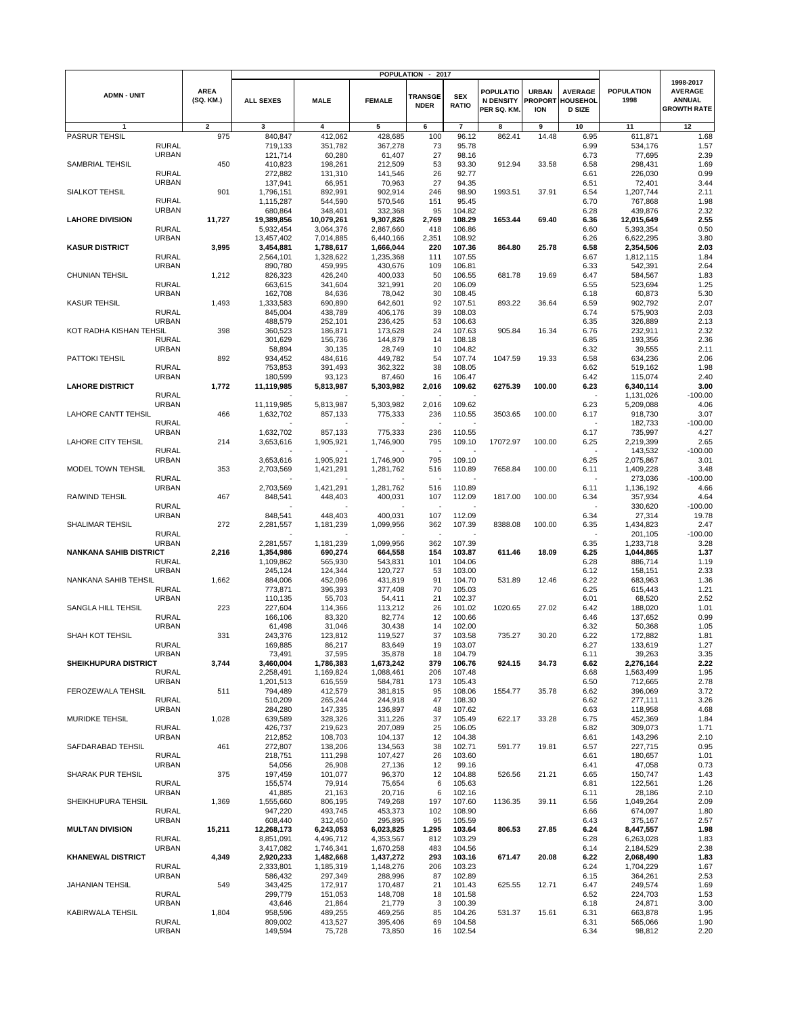|                               |                              |                          |                         |                         | <b>POPULATION</b>      | 2017                          |                            |                                                     |                                              |                                             |                           |                                                                    |
|-------------------------------|------------------------------|--------------------------|-------------------------|-------------------------|------------------------|-------------------------------|----------------------------|-----------------------------------------------------|----------------------------------------------|---------------------------------------------|---------------------------|--------------------------------------------------------------------|
| <b>ADMN - UNIT</b>            |                              | <b>AREA</b><br>(SQ. KM.) | <b>ALL SEXES</b>        | <b>MALE</b>             | <b>FEMALE</b>          | <b>TRANSGE</b><br><b>NDER</b> | <b>SEX</b><br><b>RATIO</b> | <b>POPULATIO</b><br><b>N DENSITY</b><br>PER SQ. KM. | <b>URBAN</b><br><b>PROPORT</b><br><b>ION</b> | <b>AVERAGE</b><br>HOUSEHOL<br><b>D SIZE</b> | <b>POPULATION</b><br>1998 | 1998-2017<br><b>AVERAGE</b><br><b>ANNUAL</b><br><b>GROWTH RATE</b> |
| 1                             |                              | $\mathbf{2}$             | 3                       | 4                       | 5                      | 6                             | $\overline{7}$             | $\overline{\mathbf{8}}$                             | 9                                            | 10                                          | 11                        | 12                                                                 |
| <b>PASRUR TEHSIL</b>          |                              | 975                      | 840,847                 | 412,062                 | 428,685                | 100                           | 96.12                      | 862.41                                              | 14.48                                        | 6.95                                        | 611,871                   | 1.68                                                               |
|                               | <b>RURAL</b>                 |                          | 719,133                 | 351,782                 | 367,278                | 73                            | 95.78                      |                                                     |                                              | 6.99                                        | 534,176                   | 1.57                                                               |
|                               | <b>URBAN</b>                 |                          | 121,714                 | 60,280                  | 61,407                 | 27                            | 98.16                      |                                                     |                                              | 6.73                                        | 77,695                    | 2.39                                                               |
| SAMBRIAL TEHSIL               |                              | 450                      | 410,823                 | 198,261                 | 212,509                | 53                            | 93.30                      | 912.94                                              | 33.58                                        | 6.58                                        | 298,431                   | 1.69                                                               |
|                               | <b>RURAL</b>                 |                          | 272,882                 | 131,310                 | 141,546                | 26                            | 92.77                      |                                                     |                                              | 6.61                                        | 226,030                   | 0.99                                                               |
|                               | <b>URBAN</b>                 |                          | 137,941                 | 66,951                  | 70,963                 | 27                            | 94.35                      |                                                     |                                              | 6.51                                        | 72,401                    | 3.44                                                               |
| SIALKOT TEHSIL                |                              | 901                      | 1,796,151               | 892,991                 | 902,914                | 246                           | 98.90                      | 1993.51                                             | 37.91                                        | 6.54                                        | 1,207,744                 | 2.11                                                               |
|                               | <b>RURAL</b>                 |                          | 1,115,287               | 544,590                 | 570,546                | 151                           | 95.45                      |                                                     |                                              | 6.70                                        | 767,868                   | 1.98                                                               |
|                               | <b>URBAN</b>                 |                          | 680,864                 | 348,401                 | 332,368                | 95                            | 104.82                     |                                                     |                                              | 6.28                                        | 439,876                   | 2.32                                                               |
| <b>LAHORE DIVISION</b>        |                              | 11,727                   | 19,389,856<br>5,932,454 | 10,079,261<br>3,064,376 | 9,307,826              | 2,769                         | 108.29                     | 1653.44                                             | 69.40                                        | 6.36                                        | 12,015,649                | 2.55<br>0.50                                                       |
|                               | <b>RURAL</b><br><b>URBAN</b> |                          | 13,457,402              |                         | 2,867,660<br>6,440,166 | 418<br>2,351                  | 106.86<br>108.92           |                                                     |                                              | 6.60                                        | 5,393,354<br>6,622,295    | 3.80                                                               |
| <b>KASUR DISTRICT</b>         |                              | 3,995                    | 3,454,881               | 7,014,885<br>1,788,617  | 1,666,044              | 220                           | 107.36                     | 864.80                                              | 25.78                                        | 6.26<br>6.58                                | 2,354,506                 | 2.03                                                               |
|                               | <b>RURAL</b>                 |                          | 2,564,101               | 1,328,622               | 1,235,368              | 111                           | 107.55                     |                                                     |                                              | 6.67                                        | 1,812,115                 | 1.84                                                               |
|                               | <b>URBAN</b>                 |                          | 890,780                 | 459,995                 | 430,676                | 109                           | 106.81                     |                                                     |                                              | 6.33                                        | 542,391                   | 2.64                                                               |
| <b>CHUNIAN TEHSIL</b>         |                              | 1,212                    | 826,323                 | 426,240                 | 400,033                | 50                            | 106.55                     | 681.78                                              | 19.69                                        | 6.47                                        | 584,567                   | 1.83                                                               |
|                               | <b>RURAL</b>                 |                          | 663,615                 | 341,604                 | 321,991                | 20                            | 106.09                     |                                                     |                                              | 6.55                                        | 523,694                   | 1.25                                                               |
|                               | <b>URBAN</b>                 |                          | 162,708                 | 84,636                  | 78,042                 | 30                            | 108.45                     |                                                     |                                              | 6.18                                        | 60,873                    | 5.30                                                               |
| <b>KASUR TEHSIL</b>           |                              | 1,493                    | 1,333,583               | 690,890                 | 642,601                | 92                            | 107.51                     | 893.22                                              | 36.64                                        | 6.59                                        | 902,792                   | 2.07                                                               |
|                               | <b>RURAL</b>                 |                          | 845,004                 | 438,789                 | 406,176                | 39                            | 108.03                     |                                                     |                                              | 6.74                                        | 575,903                   | 2.03                                                               |
|                               | <b>URBAN</b>                 |                          | 488,579                 | 252,101                 | 236,425                | 53                            | 106.63                     |                                                     |                                              | 6.35                                        | 326,889                   | 2.13                                                               |
| KOT RADHA KISHAN TEHSIL       |                              | 398                      | 360,523                 | 186,871                 | 173,628                | 24                            | 107.63                     | 905.84                                              | 16.34                                        | 6.76                                        | 232,911                   | 2.32                                                               |
|                               | <b>RURAL</b>                 |                          | 301,629                 | 156,736                 | 144,879                | 14                            | 108.18                     |                                                     |                                              | 6.85                                        | 193,356                   | 2.36                                                               |
| PATTOKI TEHSIL                | <b>URBAN</b>                 |                          | 58,894                  | 30,135                  | 28,749                 | 10                            | 104.82                     |                                                     |                                              | 6.32                                        | 39,555                    | 2.11                                                               |
|                               | <b>RURAL</b>                 | 892                      | 934,452<br>753,853      | 484,616<br>391,493      | 449,782<br>362,322     | 54<br>38                      | 107.74<br>108.05           | 1047.59                                             | 19.33                                        | 6.58<br>6.62                                | 634,236<br>519,162        | 2.06<br>1.98                                                       |
|                               | <b>URBAN</b>                 |                          | 180,599                 | 93,123                  | 87,460                 | 16                            | 106.47                     |                                                     |                                              | 6.42                                        | 115,074                   | 2.40                                                               |
| <b>LAHORE DISTRICT</b>        |                              | 1,772                    | 11,119,985              | 5,813,987               | 5,303,982              | 2,016                         | 109.62                     | 6275.39                                             | 100.00                                       | 6.23                                        | 6,340,114                 | 3.00                                                               |
|                               | <b>RURAL</b>                 |                          |                         |                         |                        |                               |                            |                                                     |                                              | $\ddot{\phantom{1}}$                        | 1,131,026                 | $-100.00$                                                          |
|                               | <b>URBAN</b>                 |                          | 11,119,985              | 5,813,987               | 5,303,982              | 2,016                         | 109.62                     |                                                     |                                              | 6.23                                        | 5,209,088                 | 4.06                                                               |
| <b>LAHORE CANTT TEHSIL</b>    |                              | 466                      | 1,632,702               | 857,133                 | 775,333                | 236                           | 110.55                     | 3503.65                                             | 100.00                                       | 6.17                                        | 918,730                   | 3.07                                                               |
|                               | <b>RURAL</b>                 |                          |                         |                         |                        |                               |                            |                                                     |                                              |                                             | 182,733                   | $-100.00$                                                          |
|                               | <b>URBAN</b>                 |                          | 1,632,702               | 857,133                 | 775,333                | 236                           | 110.55                     |                                                     |                                              | 6.17                                        | 735,997                   | 4.27                                                               |
| <b>LAHORE CITY TEHSIL</b>     |                              | 214                      | 3,653,616               | 1,905,921               | 1,746,900              | 795                           | 109.10                     | 17072.97                                            | 100.00                                       | 6.25                                        | 2,219,399                 | 2.65                                                               |
|                               | <b>RURAL</b>                 |                          |                         |                         |                        |                               |                            |                                                     |                                              |                                             | 143,532                   | $-100.00$                                                          |
|                               | <b>URBAN</b>                 |                          | 3,653,616               | 1,905,921               | 1,746,900              | 795                           | 109.10                     |                                                     |                                              | 6.25                                        | 2,075,867                 | 3.01                                                               |
| MODEL TOWN TEHSIL             |                              | 353                      | 2,703,569               | 1,421,291               | 1,281,762              | 516                           | 110.89                     | 7658.84                                             | 100.00                                       | 6.11                                        | 1,409,228                 | 3.48                                                               |
|                               | <b>RURAL</b>                 |                          |                         |                         |                        |                               |                            |                                                     |                                              |                                             | 273,036                   | $-100.00$                                                          |
|                               | <b>URBAN</b>                 |                          | 2,703,569               | 1,421,291               | 1,281,762              | 516                           | 110.89                     |                                                     |                                              | 6.11                                        | 1,136,192                 | 4.66                                                               |
| <b>RAIWIND TEHSIL</b>         |                              | 467                      | 848,541                 | 448,403                 | 400,031                | 107                           | 112.09                     | 1817.00                                             | 100.00                                       | 6.34                                        | 357,934                   | 4.64                                                               |
|                               | <b>RURAL</b><br><b>URBAN</b> |                          | 848,541                 | 448,403                 | 400,031                | 107                           | 112.09                     |                                                     |                                              | 6.34                                        | 330,620                   | $-100.00$<br>19.78                                                 |
| SHALIMAR TEHSIL               |                              | 272                      | 2,281,557               | 1,181,239               | 1,099,956              | 362                           | 107.39                     | 8388.08                                             | 100.00                                       | 6.35                                        | 27,314<br>1,434,823       | 2.47                                                               |
|                               | <b>RURAL</b>                 |                          |                         |                         |                        | $\overline{a}$                |                            |                                                     |                                              |                                             | 201,105                   | $-100.00$                                                          |
|                               | <b>URBAN</b>                 |                          | 2,281,557               | 1,181,239               | 1,099,956              | 362                           | 107.39                     |                                                     |                                              | 6.35                                        | 1,233,718                 | 3.28                                                               |
| <b>NANKANA SAHIB DISTRICT</b> |                              | 2,216                    | 1,354,986               | 690,274                 | 664,558                | 154                           | 103.87                     | 611.46                                              | 18.09                                        | 6.25                                        | 1,044,865                 | 1.37                                                               |
|                               | <b>RURAL</b>                 |                          | 1,109,862               | 565,930                 | 543,831                | 101                           | 104.06                     |                                                     |                                              | 6.28                                        | 886,714                   | 1.19                                                               |
|                               | <b>URBAN</b>                 |                          | 245,124                 | 124,344                 | 120,727                | 53                            | 103.00                     |                                                     |                                              | 6.12                                        | 158,151                   | 2.33                                                               |
| NANKANA SAHIB TEHSIL          |                              | 1,662                    | 884,006                 | 452,096                 | 431,819                | 91                            | 104.70                     | 531.89                                              | 12.46                                        | 6.22                                        | 683,963                   | 1.36                                                               |
|                               | <b>RURAL</b>                 |                          | 773,871                 | 396,393                 | 377,408                | 70                            | 105.03                     |                                                     |                                              | 6.25                                        | 615,443                   | 1.21                                                               |
|                               | <b>URBAN</b>                 |                          | 110,135                 | 55,703                  | 54,411                 | 21                            | 102.37                     |                                                     |                                              | 6.01                                        | 68,520                    | 2.52                                                               |
| SANGLA HILL TEHSIL            |                              | 223                      | 227,604                 | 114,366                 | 113,212                | 26                            | 101.02                     | 1020.65                                             | 27.02                                        | 6.42                                        | 188,020                   | 1.01                                                               |
|                               | <b>RURAL</b>                 |                          | 166,106                 | 83,320                  | 82,774                 | 12<br>14                      | 100.66<br>102.00           |                                                     |                                              | 6.46                                        | 137,652                   | 0.99                                                               |
| SHAH KOT TEHSIL               | <b>URBAN</b>                 | 331                      | 61,498<br>243,376       | 31,046<br>123,812       | 30,438<br>119,527      | 37                            | 103.58                     | 735.27                                              | 30.20                                        | 6.32<br>6.22                                | 50,368<br>172,882         | 1.05<br>1.81                                                       |
|                               | <b>RURAL</b>                 |                          | 169,885                 | 86,217                  | 83,649                 | 19                            | 103.07                     |                                                     |                                              | 6.27                                        | 133,619                   | 1.27                                                               |
|                               | <b>URBAN</b>                 |                          | 73,491                  | 37,595                  | 35,878                 | 18                            | 104.79                     |                                                     |                                              | 6.11                                        | 39,263                    | 3.35                                                               |
| <b>SHEIKHUPURA DISTRICT</b>   |                              | 3,744                    | 3,460,004               | 1,786,383               | 1,673,242              | 379                           | 106.76                     | 924.15                                              | 34.73                                        | 6.62                                        | 2,276,164                 | 2.22                                                               |
|                               | <b>RURAL</b>                 |                          | 2,258,491               | 1,169,824               | 1,088,461              | 206                           | 107.48                     |                                                     |                                              | 6.68                                        | 1,563,499                 | 1.95                                                               |
|                               | <b>URBAN</b>                 |                          | 1,201,513               | 616,559                 | 584,781                | 173                           | 105.43                     |                                                     |                                              | 6.50                                        | 712,665                   | 2.78                                                               |
| FEROZEWALA TEHSIL             |                              | 511                      | 794,489                 | 412,579                 | 381,815                | 95                            | 108.06                     | 1554.77                                             | 35.78                                        | 6.62                                        | 396,069                   | 3.72                                                               |
|                               | <b>RURAL</b>                 |                          | 510,209                 | 265,244                 | 244,918                | 47                            | 108.30                     |                                                     |                                              | 6.62                                        | 277,111                   | 3.26                                                               |
|                               | <b>URBAN</b>                 |                          | 284,280                 | 147,335                 | 136,897                | 48                            | 107.62                     |                                                     |                                              | 6.63                                        | 118,958                   | 4.68                                                               |
| MURIDKE TEHSIL                | <b>RURAL</b>                 | 1,028                    | 639,589<br>426,737      | 328,326                 | 311,226<br>207,089     | 37<br>25                      | 105.49<br>106.05           | 622.17                                              | 33.28                                        | 6.75<br>6.82                                | 452,369<br>309,073        | 1.84<br>1.71                                                       |
|                               | <b>URBAN</b>                 |                          | 212,852                 | 219,623<br>108,703      | 104,137                | 12                            | 104.38                     |                                                     |                                              | 6.61                                        | 143,296                   | 2.10                                                               |
| SAFDARABAD TEHSIL             |                              | 461                      | 272,807                 | 138,206                 | 134,563                | 38                            | 102.71                     | 591.77                                              | 19.81                                        | 6.57                                        | 227,715                   | 0.95                                                               |
|                               | <b>RURAL</b>                 |                          | 218,751                 | 111,298                 | 107,427                | 26                            | 103.60                     |                                                     |                                              | 6.61                                        | 180,657                   | 1.01                                                               |
|                               | <b>URBAN</b>                 |                          | 54,056                  | 26,908                  | 27,136                 | 12                            | 99.16                      |                                                     |                                              | 6.41                                        | 47,058                    | 0.73                                                               |
| SHARAK PUR TEHSIL             |                              | 375                      | 197,459                 | 101,077                 | 96,370                 | 12                            | 104.88                     | 526.56                                              | 21.21                                        | 6.65                                        | 150,747                   | 1.43                                                               |
|                               | <b>RURAL</b>                 |                          | 155,574                 | 79,914                  | 75,654                 | 6                             | 105.63                     |                                                     |                                              | 6.81                                        | 122,561                   | 1.26                                                               |
|                               | <b>URBAN</b>                 |                          | 41,885                  | 21,163                  | 20,716                 | 6                             | 102.16                     |                                                     |                                              | 6.11                                        | 28,186                    | 2.10                                                               |
| SHEIKHUPURA TEHSIL            |                              | 1,369                    | 1,555,660               | 806,195                 | 749,268                | 197                           | 107.60                     | 1136.35                                             | 39.11                                        | 6.56                                        | 1,049,264                 | 2.09                                                               |
|                               | <b>RURAL</b>                 |                          | 947,220                 | 493,745                 | 453,373                | 102                           | 108.90                     |                                                     |                                              | 6.66                                        | 674,097                   | 1.80                                                               |
|                               | <b>URBAN</b>                 |                          | 608,440                 | 312,450                 | 295,895                | 95                            | 105.59                     |                                                     |                                              | 6.43                                        | 375,167                   | 2.57                                                               |
| <b>MULTAN DIVISION</b>        |                              | 15,211                   | 12,268,173              | 6,243,053               | 6,023,825              | 1,295                         | 103.64                     | 806.53                                              | 27.85                                        | 6.24                                        | 8,447,557                 | 1.98                                                               |
|                               | RURAL                        |                          | 8,851,091               | 4,496,712               | 4,353,567              | 812                           | 103.29                     |                                                     |                                              | 6.28                                        | 6,263,028                 | 1.83                                                               |
| <b>KHANEWAL DISTRICT</b>      | <b>URBAN</b>                 | 4,349                    | 3,417,082<br>2,920,233  | 1,746,341<br>1,482,668  | 1,670,258<br>1,437,272 | 483<br>293                    | 104.56<br>103.16           |                                                     | 20.08                                        | 6.14<br>6.22                                | 2,184,529<br>2,068,490    | 2.38<br>1.83                                                       |
|                               | <b>RURAL</b>                 |                          | 2,333,801               | 1,185,319               | 1,148,276              | 206                           | 103.23                     | 671.47                                              |                                              | 6.24                                        | 1,704,229                 | 1.67                                                               |
|                               | <b>URBAN</b>                 |                          | 586,432                 | 297,349                 | 288,996                | 87                            | 102.89                     |                                                     |                                              | 6.15                                        | 364,261                   | 2.53                                                               |
| <b>JAHANIAN TEHSIL</b>        |                              | 549                      | 343,425                 | 172,917                 | 170,487                | 21                            | 101.43                     | 625.55                                              | 12.71                                        | 6.47                                        | 249,574                   | 1.69                                                               |
|                               | <b>RURAL</b>                 |                          | 299,779                 | 151,053                 | 148,708                | 18                            | 101.58                     |                                                     |                                              | 6.52                                        | 224,703                   | 1.53                                                               |
|                               | <b>URBAN</b>                 |                          | 43,646                  | 21,864                  | 21,779                 | 3                             | 100.39                     |                                                     |                                              | 6.18                                        | 24,871                    | 3.00                                                               |
| KABIRWALA TEHSIL              |                              | 1,804                    | 958,596                 | 489,255                 | 469,256                | 85                            | 104.26                     | 531.37                                              | 15.61                                        | 6.31                                        | 663,878                   | 1.95                                                               |
|                               | <b>RURAL</b>                 |                          | 809,002                 | 413,527                 | 395,406                | 69                            | 104.58                     |                                                     |                                              | 6.31                                        | 565,066                   | 1.90                                                               |
|                               | <b>URBAN</b>                 |                          | 149,594                 | 75,728                  | 73,850                 | 16                            | 102.54                     |                                                     |                                              | 6.34                                        | 98,812                    | 2.20                                                               |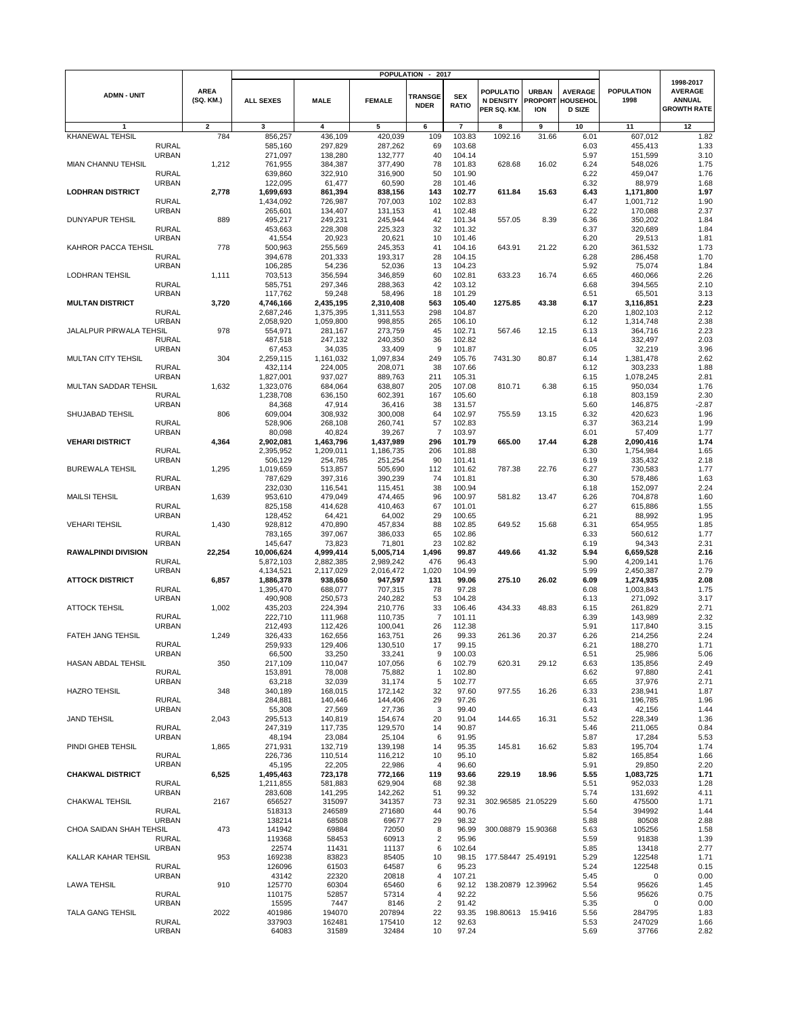|                            |                              |                          | <b>POPULATION</b><br>2017<br>$\blacksquare$ |                    |                      |                               |                            |                                                    |                                              |                                                    |                           |                                                                    |
|----------------------------|------------------------------|--------------------------|---------------------------------------------|--------------------|----------------------|-------------------------------|----------------------------|----------------------------------------------------|----------------------------------------------|----------------------------------------------------|---------------------------|--------------------------------------------------------------------|
| <b>ADMN - UNIT</b>         |                              | <b>AREA</b><br>(SQ. KM.) | <b>ALL SEXES</b>                            | <b>MALE</b>        | <b>FEMALE</b>        | <b>TRANSGE</b><br><b>NDER</b> | <b>SEX</b><br><b>RATIO</b> | <b>POPULATIO</b><br><b>N DENSITY</b><br>PER SQ. KM | <b>URBAN</b><br><b>PROPORT</b><br><b>ION</b> | <b>AVERAGE</b><br><b>HOUSEHOL</b><br><b>D SIZE</b> | <b>POPULATION</b><br>1998 | 1998-2017<br><b>AVERAGE</b><br><b>ANNUAL</b><br><b>GROWTH RATE</b> |
| 1                          |                              | 2                        | 3                                           | 4                  | 5                    | 6                             | $\overline{7}$             | 8                                                  | 9                                            | 10                                                 | 11                        | 12                                                                 |
| KHANEWAL TEHSIL            |                              | 784                      | 856,257                                     | 436,109            | 420,039              | 109                           | 103.83                     | 1092.16                                            | 31.66                                        | 6.01                                               | 607,012                   | 1.82                                                               |
|                            | <b>RURAL</b>                 |                          | 585,160                                     | 297,829            | 287,262              | 69                            | 103.68                     |                                                    |                                              | 6.03                                               | 455,413                   | 1.33                                                               |
|                            | <b>URBAN</b>                 |                          | 271,097                                     | 138,280            | 132,777              | 40                            | 104.14                     |                                                    |                                              | 5.97                                               | 151,599                   | 3.10                                                               |
| MIAN CHANNU TEHSIL         |                              | 1,212                    | 761,955                                     | 384,387            | 377,490              | 78                            | 101.83                     | 628.68                                             | 16.02                                        | 6.24                                               | 548,026                   | 1.75                                                               |
|                            | <b>RURAL</b>                 |                          | 639,860                                     | 322,910            | 316,900              | 50                            | 101.90                     |                                                    |                                              | 6.22                                               | 459,047                   | 1.76                                                               |
|                            | <b>URBAN</b>                 |                          | 122,095                                     | 61,477             | 60,590               | 28                            | 101.46                     |                                                    |                                              | 6.32                                               | 88,979                    | 1.68                                                               |
| <b>LODHRAN DISTRICT</b>    | <b>RURAL</b>                 | 2,778                    | 1,699,693<br>1,434,092                      | 861,394<br>726,987 | 838,156<br>707,003   | 143<br>102                    | 102.77<br>102.83           | 611.84                                             | 15.63                                        | 6.43<br>6.47                                       | 1,171,800<br>1,001,712    | 1.97<br>1.90                                                       |
|                            | <b>URBAN</b>                 |                          | 265,601                                     | 134,407            | 131,153              | 41                            | 102.48                     |                                                    |                                              | 6.22                                               | 170,088                   | 2.37                                                               |
| <b>DUNYAPUR TEHSIL</b>     |                              | 889                      | 495,217                                     | 249,231            | 245,944              | 42                            | 101.34                     | 557.05                                             | 8.39                                         | 6.36                                               | 350,202                   | 1.84                                                               |
|                            | <b>RURAL</b>                 |                          | 453,663                                     | 228,308            | 225,323              | 32                            | 101.32                     |                                                    |                                              | 6.37                                               | 320,689                   | 1.84                                                               |
|                            | <b>URBAN</b>                 |                          | 41,554                                      | 20,923             | 20,621               | 10                            | 101.46                     |                                                    |                                              | 6.20                                               | 29,513                    | 1.81                                                               |
| KAHROR PACCA TEHSIL        |                              | 778                      | 500,963                                     | 255,569            | 245,353              | 41                            | 104.16                     | 643.91                                             | 21.22                                        | 6.20                                               | 361,532                   | 1.73                                                               |
|                            | <b>RURAL</b>                 |                          | 394,678                                     | 201,333            | 193,317              | 28                            | 104.15                     |                                                    |                                              | 6.28                                               | 286,458                   | 1.70                                                               |
|                            | <b>URBAN</b>                 |                          | 106,285                                     | 54,236             | 52,036               | 13                            | 104.23                     |                                                    |                                              | 5.92                                               | 75,074                    | 1.84                                                               |
| <b>LODHRAN TEHSIL</b>      |                              | 1,111                    | 703,513                                     | 356,594            | 346,859              | 60                            | 102.81                     | 633.23                                             | 16.74                                        | 6.65                                               | 460,066                   | 2.26                                                               |
|                            | <b>RURAL</b><br><b>URBAN</b> |                          | 585,751<br>117,762                          | 297,346<br>59,248  | 288,363<br>58,496    | 42<br>18                      | 103.12<br>101.29           |                                                    |                                              | 6.68<br>6.51                                       | 394,565<br>65,501         | 2.10<br>3.13                                                       |
| <b>MULTAN DISTRICT</b>     |                              | 3,720                    | 4,746,166                                   | 2,435,195          | 2,310,408            | 563                           | 105.40                     | 1275.85                                            | 43.38                                        | 6.17                                               | 3,116,851                 | 2.23                                                               |
|                            | <b>RURAL</b>                 |                          | 2,687,246                                   | 1,375,395          | 1,311,553            | 298                           | 104.87                     |                                                    |                                              | 6.20                                               | 1,802,103                 | 2.12                                                               |
|                            | <b>URBAN</b>                 |                          | 2,058,920                                   | 1,059,800          | 998,855              | 265                           | 106.10                     |                                                    |                                              | 6.12                                               | 1,314,748                 | 2.38                                                               |
| JALALPUR PIRWALA TEHSIL    |                              | 978                      | 554,971                                     | 281,167            | 273,759              | 45                            | 102.71                     | 567.46                                             | 12.15                                        | 6.13                                               | 364,716                   | 2.23                                                               |
|                            | <b>RURAL</b>                 |                          | 487,518                                     | 247,132            | 240,350              | 36                            | 102.82                     |                                                    |                                              | 6.14                                               | 332,497                   | 2.03                                                               |
|                            | <b>URBAN</b>                 |                          | 67,453                                      | 34,035             | 33,409               | 9                             | 101.87                     |                                                    |                                              | 6.05                                               | 32,219                    | 3.96                                                               |
| MULTAN CITY TEHSIL         |                              | 304                      | 2,259,115                                   | 1,161,032          | 1,097,834            | 249                           | 105.76                     | 7431.30                                            | 80.87                                        | 6.14                                               | 1,381,478                 | 2.62                                                               |
|                            | <b>RURAL</b>                 |                          | 432,114                                     | 224,005            | 208,071              | 38                            | 107.66                     |                                                    |                                              | 6.12                                               | 303,233                   | 1.88                                                               |
|                            | <b>URBAN</b>                 |                          | 1,827,001                                   | 937,027            | 889,763              | 211                           | 105.31                     |                                                    |                                              | 6.15                                               | 1,078,245                 | 2.81                                                               |
| MULTAN SADDAR TEHSIL       | <b>RURAL</b>                 | 1,632                    | 1,323,076<br>1,238,708                      | 684,064<br>636,150 | 638,807<br>602,391   | 205<br>167                    | 107.08<br>105.60           | 810.71                                             | 6.38                                         | 6.15<br>6.18                                       | 950,034<br>803,159        | 1.76<br>2.30                                                       |
|                            | <b>URBAN</b>                 |                          | 84,368                                      | 47,914             | 36,416               | 38                            | 131.57                     |                                                    |                                              | 5.60                                               | 146,875                   | $-2.87$                                                            |
| SHUJABAD TEHSIL            |                              | 806                      | 609,004                                     | 308,932            | 300,008              | 64                            | 102.97                     | 755.59                                             | 13.15                                        | 6.32                                               | 420,623                   | 1.96                                                               |
|                            | <b>RURAL</b>                 |                          | 528,906                                     | 268,108            | 260,741              | 57                            | 102.83                     |                                                    |                                              | 6.37                                               | 363,214                   | 1.99                                                               |
|                            | <b>URBAN</b>                 |                          | 80,098                                      | 40,824             | 39,267               | $\overline{7}$                | 103.97                     |                                                    |                                              | 6.01                                               | 57,409                    | 1.77                                                               |
| <b>VEHARI DISTRICT</b>     |                              | 4,364                    | 2,902,081                                   | 1,463,796          | 1,437,989            | 296                           | 101.79                     | 665.00                                             | 17.44                                        | 6.28                                               | 2,090,416                 | 1.74                                                               |
|                            | <b>RURAL</b>                 |                          | 2,395,952                                   | 1,209,011          | 1,186,735            | 206                           | 101.88                     |                                                    |                                              | 6.30                                               | 1,754,984                 | 1.65                                                               |
|                            | <b>URBAN</b>                 |                          | 506,129                                     | 254,785            | 251,254              | 90                            | 101.41                     |                                                    |                                              | 6.19                                               | 335,432                   | 2.18                                                               |
| <b>BUREWALA TEHSIL</b>     |                              | 1,295                    | 1,019,659                                   | 513,857            | 505,690              | 112                           | 101.62                     | 787.38                                             | 22.76                                        | 6.27                                               | 730,583                   | 1.77                                                               |
|                            | <b>RURAL</b><br><b>URBAN</b> |                          | 787,629                                     | 397,316            | 390,239              | 74<br>38                      | 101.81                     |                                                    |                                              | 6.30                                               | 578,486                   | 1.63<br>2.24                                                       |
| <b>MAILSI TEHSIL</b>       |                              | 1,639                    | 232,030<br>953,610                          | 116,541<br>479,049 | 115,451<br>474,465   | 96                            | 100.94<br>100.97           | 581.82                                             | 13.47                                        | 6.18<br>6.26                                       | 152,097<br>704,878        | 1.60                                                               |
|                            | <b>RURAL</b>                 |                          | 825,158                                     | 414,628            | 410,463              | 67                            | 101.01                     |                                                    |                                              | 6.27                                               | 615,886                   | 1.55                                                               |
|                            | <b>URBAN</b>                 |                          | 128,452                                     | 64,421             | 64,002               | 29                            | 100.65                     |                                                    |                                              | 6.21                                               | 88,992                    | 1.95                                                               |
| <b>VEHARI TEHSIL</b>       |                              | 1,430                    | 928,812                                     | 470,890            | 457,834              | 88                            | 102.85                     | 649.52                                             | 15.68                                        | 6.31                                               | 654,955                   | 1.85                                                               |
|                            | <b>RURAL</b>                 |                          | 783,165                                     | 397,067            | 386,033              | 65                            | 102.86                     |                                                    |                                              | 6.33                                               | 560,612                   | 1.77                                                               |
|                            | <b>URBAN</b>                 |                          | 145,647                                     | 73,823             | 71,801               | 23                            | 102.82                     |                                                    |                                              | 6.19                                               | 94,343                    | 2.31                                                               |
| <b>RAWALPINDI DIVISION</b> |                              | 22,254                   | 10,006,624                                  | 4,999,414          | 5,005,714            | 1,496                         | 99.87                      | 449.66                                             | 41.32                                        | 5.94                                               | 6,659,528                 | 2.16                                                               |
|                            | <b>RURAL</b>                 |                          | 5,872,103                                   | 2,882,385          | 2,989,242            | 476                           | 96.43                      |                                                    |                                              | 5.90                                               | 4,209,141                 | 1.76                                                               |
| <b>ATTOCK DISTRICT</b>     | <b>URBAN</b>                 |                          | 4,134,521                                   | 2,117,029          | 2,016,472<br>947,597 | 1,020                         | 104.99<br>99.06            | 275.10                                             | 26.02                                        | 5.99<br>6.09                                       | 2,450,387                 | 2.79<br>2.08                                                       |
|                            | <b>RURAL</b>                 | 6,857                    | 1,886,378<br>1,395,470                      | 938,650<br>688,077 | 707,315              | 131<br>78                     | 97.28                      |                                                    |                                              | 6.08                                               | 1,274,935<br>1,003,843    | 1.75                                                               |
|                            | <b>URBAN</b>                 |                          | 490,908                                     | 250,573            | 240,282              | 53                            | 104.28                     |                                                    |                                              | 6.13                                               | 271,092                   | 3.17                                                               |
| <b>ATTOCK TEHSIL</b>       |                              | 1,002                    | 435,203                                     | 224,394            | 210,776              | 33                            | 106.46                     | 434.33                                             | 48.83                                        | 6.15                                               | 261,829                   | 2.71                                                               |
|                            | <b>RURAL</b>                 |                          | 222,710                                     | 111,968            | 110,735              | $\overline{7}$                | 101.11                     |                                                    |                                              | 6.39                                               | 143,989                   | 2.32                                                               |
|                            | <b>URBAN</b>                 |                          | 212,493                                     | 112,426            | 100,041              | 26                            | 112.38                     |                                                    |                                              | 5.91                                               | 117,840                   | 3.15                                                               |
| FATEH JANG TEHSIL          |                              | 1,249                    | 326,433                                     | 162,656            | 163,751              | 26                            | 99.33                      | 261.36                                             | 20.37                                        | 6.26                                               | 214,256                   | 2.24                                                               |
|                            | <b>RURAL</b>                 |                          | 259,933                                     | 129,406            | 130,510              | 17                            | 99.15                      |                                                    |                                              | 6.21                                               | 188,270                   | 1.71                                                               |
|                            | URBAN                        |                          | 66,500                                      | 33,250             | 33,241               | 9                             | 100.03                     |                                                    |                                              | 6.51                                               | 25,986                    | 5.06                                                               |
| HASAN ABDAL TEHSIL         | <b>RURAL</b>                 | 350                      | 217,109<br>153,891                          | 110,047<br>78,008  | 107,056<br>75,882    | 6<br>1                        | 102.79                     | 620.31                                             | 29.12                                        | 6.63<br>6.62                                       | 135,856<br>97,880         | 2.49<br>2.41                                                       |
|                            | <b>URBAN</b>                 |                          | 63,218                                      | 32,039             | 31,174               | 5                             | 102.80<br>102.77           |                                                    |                                              | 6.65                                               | 37,976                    | 2.71                                                               |
| <b>HAZRO TEHSIL</b>        |                              | 348                      | 340,189                                     | 168,015            | 172,142              | 32                            | 97.60                      | 977.55                                             | 16.26                                        | 6.33                                               | 238,941                   | 1.87                                                               |
|                            | <b>RURAL</b>                 |                          | 284,881                                     | 140,446            | 144,406              | 29                            | 97.26                      |                                                    |                                              | 6.31                                               | 196,785                   | 1.96                                                               |
|                            | <b>URBAN</b>                 |                          | 55,308                                      | 27,569             | 27,736               | 3                             | 99.40                      |                                                    |                                              | 6.43                                               | 42,156                    | 1.44                                                               |
| <b>JAND TEHSIL</b>         |                              | 2,043                    | 295,513                                     | 140,819            | 154,674              | 20                            | 91.04                      | 144.65                                             | 16.31                                        | 5.52                                               | 228,349                   | 1.36                                                               |
|                            | <b>RURAL</b>                 |                          | 247,319                                     | 117,735            | 129,570              | 14                            | 90.87                      |                                                    |                                              | 5.46                                               | 211,065                   | 0.84                                                               |
|                            | <b>URBAN</b>                 |                          | 48,194                                      | 23,084             | 25,104               | 6                             | 91.95                      |                                                    |                                              | 5.87                                               | 17,284                    | 5.53                                                               |
| PINDI GHEB TEHSIL          | <b>RURAL</b>                 | 1,865                    | 271,931<br>226,736                          | 132,719<br>110,514 | 139,198<br>116,212   | 14<br>10                      | 95.35<br>95.10             | 145.81                                             | 16.62                                        | 5.83<br>5.82                                       | 195,704<br>165,854        | 1.74<br>1.66                                                       |
|                            | URBAN                        |                          | 45,195                                      | 22,205             | 22,986               | 4                             | 96.60                      |                                                    |                                              | 5.91                                               | 29,850                    | 2.20                                                               |
| <b>CHAKWAL DISTRICT</b>    |                              | 6,525                    | 1,495,463                                   | 723,178            | 772,166              | 119                           | 93.66                      | 229.19                                             | 18.96                                        | 5.55                                               | 1,083,725                 | 1.71                                                               |
|                            | <b>RURAL</b>                 |                          | 1,211,855                                   | 581,883            | 629,904              | 68                            | 92.38                      |                                                    |                                              | 5.51                                               | 952,033                   | 1.28                                                               |
|                            | <b>URBAN</b>                 |                          | 283,608                                     | 141,295            | 142,262              | 51                            | 99.32                      |                                                    |                                              | 5.74                                               | 131,692                   | 4.11                                                               |
| <b>CHAKWAL TEHSIL</b>      |                              | 2167                     | 656527                                      | 315097             | 341357               | 73                            | 92.31                      | 302.96585 21.05229                                 |                                              | 5.60                                               | 475500                    | 1.71                                                               |
|                            | <b>RURAL</b>                 |                          | 518313                                      | 246589             | 271680               | 44                            | 90.76                      |                                                    |                                              | 5.54                                               | 394992                    | 1.44                                                               |
|                            | <b>URBAN</b>                 |                          | 138214                                      | 68508              | 69677                | 29                            | 98.32                      |                                                    |                                              | 5.88                                               | 80508                     | 2.88                                                               |
| CHOA SAIDAN SHAH TEHSIL    |                              | 473                      | 141942                                      | 69884              | 72050                | 8                             | 96.99                      | 300.08879 15.90368                                 |                                              | 5.63                                               | 105256                    | 1.58                                                               |
|                            | <b>RURAL</b>                 |                          | 119368                                      | 58453              | 60913                | $\overline{\mathbf{c}}$       | 95.96                      |                                                    |                                              | 5.59                                               | 91838                     | 1.39                                                               |
| KALLAR KAHAR TEHSIL        | <b>URBAN</b>                 | 953                      | 22574<br>169238                             | 11431<br>83823     | 11137<br>85405       | 6<br>10                       | 102.64<br>98.15            | 177.58447 25.49191                                 |                                              | 5.85<br>5.29                                       | 13418<br>122548           | 2.77<br>1.71                                                       |
|                            | <b>RURAL</b>                 |                          | 126096                                      | 61503              | 64587                | 6                             | 95.23                      |                                                    |                                              | 5.24                                               | 122548                    | 0.15                                                               |
|                            | <b>URBAN</b>                 |                          | 43142                                       | 22320              | 20818                | 4                             | 107.21                     |                                                    |                                              | 5.45                                               | 0                         | 0.00                                                               |
| <b>LAWA TEHSIL</b>         |                              | 910                      | 125770                                      | 60304              | 65460                | 6                             | 92.12                      | 138.20879 12.39962                                 |                                              | 5.54                                               | 95626                     | 1.45                                                               |
|                            | <b>RURAL</b>                 |                          | 110175                                      | 52857              | 57314                | 4                             | 92.22                      |                                                    |                                              | 5.56                                               | 95626                     | 0.75                                                               |
|                            | <b>URBAN</b>                 |                          | 15595                                       | 7447               | 8146                 | 2                             | 91.42                      |                                                    |                                              | 5.35                                               | 0                         | 0.00                                                               |
| TALA GANG TEHSIL           |                              | 2022                     | 401986                                      | 194070             | 207894               | 22                            | 93.35                      | 198.80613                                          | 15.9416                                      | 5.56                                               | 284795                    | 1.83                                                               |
|                            | <b>RURAL</b>                 |                          | 337903                                      | 162481             | 175410               | 12                            | 92.63                      |                                                    |                                              | 5.53                                               | 247029                    | 1.66                                                               |
|                            | <b>URBAN</b>                 |                          | 64083                                       | 31589              | 32484                | 10                            | 97.24                      |                                                    |                                              | 5.69                                               | 37766                     | 2.82                                                               |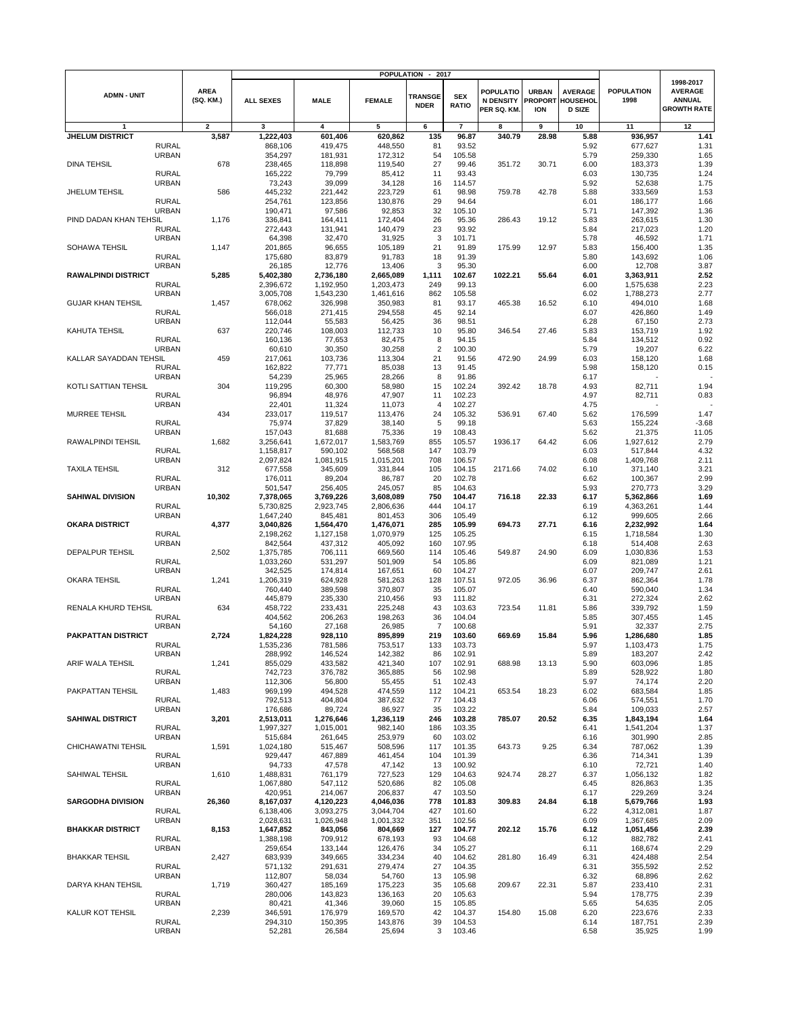|                            |                              |                          |                      |                      | <b>POPULATION</b>  | 2017                          |                            |                                                     |                                              |                                             |                           |                                                                    |
|----------------------------|------------------------------|--------------------------|----------------------|----------------------|--------------------|-------------------------------|----------------------------|-----------------------------------------------------|----------------------------------------------|---------------------------------------------|---------------------------|--------------------------------------------------------------------|
| <b>ADMN - UNIT</b>         |                              | <b>AREA</b><br>(SQ. KM.) | <b>ALL SEXES</b>     | <b>MALE</b>          | <b>FEMALE</b>      | <b>TRANSGE</b><br><b>NDER</b> | <b>SEX</b><br><b>RATIO</b> | <b>POPULATIO</b><br><b>N DENSITY</b><br>PER SQ. KM. | <b>URBAN</b><br><b>PROPORT</b><br><b>ION</b> | <b>AVERAGE</b><br>HOUSEHOL<br><b>D SIZE</b> | <b>POPULATION</b><br>1998 | 1998-2017<br><b>AVERAGE</b><br><b>ANNUAL</b><br><b>GROWTH RATE</b> |
| 1                          |                              | $\mathbf{2}$             | 3                    | 4                    | 5                  | 6                             | $\overline{7}$             | 8                                                   | 9                                            | 10                                          | 11                        | 12                                                                 |
| <b>JHELUM DISTRICT</b>     |                              | 3,587                    | 1,222,403            | 601,406              | 620,862            | 135                           | 96.87                      | 340.79                                              | 28.98                                        | 5.88                                        | 936,957                   | 1.41                                                               |
|                            | <b>RURAL</b>                 |                          | 868,106              | 419,475              | 448,550            | 81                            | 93.52                      |                                                     |                                              | 5.92                                        | 677,627                   | 1.31                                                               |
|                            | <b>URBAN</b>                 |                          | 354,297              | 181,931              | 172,312            | 54                            | 105.58                     |                                                     |                                              | 5.79                                        | 259,330                   | 1.65                                                               |
| <b>DINA TEHSIL</b>         |                              | 678                      | 238,465              | 118,898              | 119,540            | 27                            | 99.46                      | 351.72                                              | 30.71                                        | 6.00                                        | 183,373                   | 1.39                                                               |
|                            | <b>RURAL</b>                 |                          | 165,222              | 79,799               | 85,412             | 11                            | 93.43                      |                                                     |                                              | 6.03                                        | 130,735                   | 1.24                                                               |
|                            | <b>URBAN</b>                 |                          | 73,243               | 39,099               | 34,128             | 16                            | 114.57                     |                                                     |                                              | 5.92                                        | 52,638                    | 1.75                                                               |
| <b>JHELUM TEHSIL</b>       |                              | 586                      | 445,232              | 221,442              | 223,729            | 61                            | 98.98                      | 759.78                                              | 42.78                                        | 5.88                                        | 333,569                   | 1.53                                                               |
|                            | <b>RURAL</b>                 |                          | 254,761              | 123,856              | 130,876            | 29                            | 94.64                      |                                                     |                                              | 6.01                                        | 186,177                   | 1.66                                                               |
| PIND DADAN KHAN TEHSIL     | <b>URBAN</b>                 | 1,176                    | 190,471<br>336,841   | 97,586<br>164,411    | 92,853<br>172,404  | 32<br>26                      | 105.10<br>95.36            | 286.43                                              | 19.12                                        | 5.71<br>5.83                                | 147,392<br>263,615        | 1.36<br>1.30                                                       |
|                            | <b>RURAL</b>                 |                          | 272,443              | 131,941              | 140,479            | 23                            | 93.92                      |                                                     |                                              | 5.84                                        | 217,023                   | 1.20                                                               |
|                            | <b>URBAN</b>                 |                          | 64,398               | 32,470               | 31,925             | 3                             | 101.71                     |                                                     |                                              | 5.78                                        | 46,592                    | 1.71                                                               |
| SOHAWA TEHSIL              |                              | 1,147                    | 201,865              | 96,655               | 105,189            | 21                            | 91.89                      | 175.99                                              | 12.97                                        | 5.83                                        | 156,400                   | 1.35                                                               |
|                            | <b>RURAL</b>                 |                          | 175,680              | 83,879               | 91,783             | 18                            | 91.39                      |                                                     |                                              | 5.80                                        | 143,692                   | 1.06                                                               |
|                            | <b>URBAN</b>                 |                          | 26,185               | 12,776               | 13,406             | 3                             | 95.30                      |                                                     |                                              | 6.00                                        | 12,708                    | 3.87                                                               |
| <b>RAWALPINDI DISTRICT</b> |                              | 5,285                    | 5,402,380            | 2,736,180            | 2,665,089          | 1,111                         | 102.67                     | 1022.21                                             | 55.64                                        | 6.01                                        | 3,363,911                 | 2.52                                                               |
|                            | <b>RURAL</b>                 |                          | 2,396,672            | 1,192,950            | 1,203,473          | 249                           | 99.13                      |                                                     |                                              | 6.00                                        | 1,575,638                 | 2.23                                                               |
|                            | <b>URBAN</b>                 |                          | 3,005,708            | 1,543,230            | 1,461,616          | 862                           | 105.58                     |                                                     |                                              | 6.02                                        | 1,788,273                 | 2.77                                                               |
| <b>GUJAR KHAN TEHSIL</b>   |                              | 1,457                    | 678,062              | 326,998              | 350,983            | 81                            | 93.17                      | 465.38                                              | 16.52                                        | 6.10                                        | 494,010                   | 1.68                                                               |
|                            | <b>RURAL</b>                 |                          | 566,018              | 271,415              | 294,558            | 45                            | 92.14                      |                                                     |                                              | 6.07                                        | 426,860                   | 1.49                                                               |
|                            | <b>URBAN</b>                 |                          | 112,044              | 55,583               | 56,425             | 36                            | 98.51                      |                                                     |                                              | 6.28                                        | 67,150                    | 2.73                                                               |
| KAHUTA TEHSIL              | <b>RURAL</b>                 | 637                      | 220,746<br>160,136   | 108,003<br>77,653    | 112,733<br>82,475  | 10<br>8                       | 95.80<br>94.15             | 346.54                                              | 27.46                                        | 5.83<br>5.84                                | 153,719<br>134,512        | 1.92<br>0.92                                                       |
|                            | <b>URBAN</b>                 |                          | 60,610               | 30,350               | 30,258             | $\overline{c}$                | 100.30                     |                                                     |                                              | 5.79                                        | 19,207                    | 6.22                                                               |
| KALLAR SAYADDAN TEHSIL     |                              | 459                      | 217,061              | 103,736              | 113,304            | 21                            | 91.56                      | 472.90                                              | 24.99                                        | 6.03                                        | 158,120                   | 1.68                                                               |
|                            | <b>RURAL</b>                 |                          | 162,822              | 77,771               | 85,038             | 13                            | 91.45                      |                                                     |                                              | 5.98                                        | 158,120                   | 0.15                                                               |
|                            | <b>URBAN</b>                 |                          | 54,239               | 25,965               | 28,266             | 8                             | 91.86                      |                                                     |                                              | 6.17                                        |                           |                                                                    |
| KOTLI SATTIAN TEHSIL       |                              | 304                      | 119,295              | 60,300               | 58,980             | 15                            | 102.24                     | 392.42                                              | 18.78                                        | 4.93                                        | 82,711                    | 1.94                                                               |
|                            | <b>RURAL</b>                 |                          | 96,894               | 48,976               | 47,907             | 11                            | 102.23                     |                                                     |                                              | 4.97                                        | 82,711                    | 0.83                                                               |
|                            | <b>URBAN</b>                 |                          | 22,401               | 11,324               | 11,073             | 4                             | 102.27                     |                                                     |                                              | 4.75                                        |                           |                                                                    |
| <b>MURREE TEHSIL</b>       |                              | 434                      | 233,017              | 119,517              | 113,476            | 24                            | 105.32                     | 536.91                                              | 67.40                                        | 5.62                                        | 176,599                   | 1.47                                                               |
|                            | <b>RURAL</b>                 |                          | 75,974               | 37,829               | 38,140             | 5                             | 99.18                      |                                                     |                                              | 5.63                                        | 155,224                   | $-3.68$                                                            |
|                            | <b>URBAN</b>                 |                          | 157,043              | 81,688               | 75,336             | 19                            | 108.43                     |                                                     |                                              | 5.62                                        | 21,375                    | 11.05                                                              |
| RAWALPINDI TEHSIL          |                              | 1,682                    | 3,256,641            | 1,672,017            | 1,583,769          | 855                           | 105.57                     | 1936.17                                             | 64.42                                        | 6.06                                        | 1,927,612                 | 2.79                                                               |
|                            | <b>RURAL</b>                 |                          | 1,158,817            | 590,102              | 568,568            | 147                           | 103.79                     |                                                     |                                              | 6.03                                        | 517,844                   | 4.32                                                               |
| <b>TAXILA TEHSIL</b>       | <b>URBAN</b>                 | 312                      | 2,097,824            | 1,081,915<br>345,609 | 1,015,201          | 708<br>105                    | 106.57<br>104.15           | 2171.66                                             | 74.02                                        | 6.08<br>6.10                                | 1,409,768                 | 2.11<br>3.21                                                       |
|                            | <b>RURAL</b>                 |                          | 677,558<br>176,011   | 89,204               | 331,844<br>86,787  | 20                            | 102.78                     |                                                     |                                              | 6.62                                        | 371,140<br>100,367        | 2.99                                                               |
|                            | <b>URBAN</b>                 |                          | 501,547              | 256,405              | 245,057            | 85                            | 104.63                     |                                                     |                                              | 5.93                                        | 270,773                   | 3.29                                                               |
| <b>SAHIWAL DIVISION</b>    |                              | 10,302                   | 7,378,065            | 3,769,226            | 3,608,089          | 750                           | 104.47                     | 716.18                                              | 22.33                                        | 6.17                                        | 5,362,866                 | 1.69                                                               |
|                            | <b>RURAL</b>                 |                          | 5,730,825            | 2,923,745            | 2,806,636          | 444                           | 104.17                     |                                                     |                                              | 6.19                                        | 4,363,261                 | 1.44                                                               |
|                            | <b>URBAN</b>                 |                          | 1,647,240            | 845,481              | 801,453            | 306                           | 105.49                     |                                                     |                                              | 6.12                                        | 999,605                   | 2.66                                                               |
| <b>OKARA DISTRICT</b>      |                              | 4,377                    | 3,040,826            | 1,564,470            | 1,476,071          | 285                           | 105.99                     | 694.73                                              | 27.71                                        | 6.16                                        | 2,232,992                 | 1.64                                                               |
|                            | <b>RURAL</b>                 |                          | 2,198,262            | 1,127,158            | 1,070,979          | 125                           | 105.25                     |                                                     |                                              | 6.15                                        | 1,718,584                 | 1.30                                                               |
|                            | <b>URBAN</b>                 |                          | 842,564              | 437,312              | 405,092            | 160                           | 107.95                     |                                                     |                                              | 6.18                                        | 514,408                   | 2.63                                                               |
| <b>DEPALPUR TEHSIL</b>     |                              | 2,502                    | 1,375,785            | 706,111              | 669,560            | 114                           | 105.46                     | 549.87                                              | 24.90                                        | 6.09                                        | 1,030,836                 | 1.53                                                               |
|                            | <b>RURAL</b>                 |                          | 1,033,260            | 531,297              | 501,909            | 54                            | 105.86                     |                                                     |                                              | 6.09                                        | 821,089                   | 1.21                                                               |
| <b>OKARA TEHSIL</b>        | <b>URBAN</b>                 | 1,241                    | 342,525<br>1,206,319 | 174,814<br>624,928   | 167,651<br>581,263 | 60<br>128                     | 104.27<br>107.51           | 972.05                                              | 36.96                                        | 6.07<br>6.37                                | 209,747<br>862,364        | 2.61<br>1.78                                                       |
|                            | <b>RURAL</b>                 |                          | 760,440              | 389,598              | 370,807            | 35                            | 105.07                     |                                                     |                                              | 6.40                                        | 590,040                   | 1.34                                                               |
|                            | <b>URBAN</b>                 |                          | 445,879              | 235,330              | 210,456            | 93                            | 111.82                     |                                                     |                                              | 6.31                                        | 272,324                   | 2.62                                                               |
| RENALA KHURD TEHSIL        |                              | 634                      | 458,722              | 233,431              | 225,248            | 43                            | 103.63                     | 723.54                                              | 11.81                                        | 5.86                                        | 339,792                   | 1.59                                                               |
|                            | <b>RURAL</b>                 |                          | 404,562              | 206,263              | 198,263            | 36                            | 104.04                     |                                                     |                                              | 5.85                                        | 307,455                   | 1.45                                                               |
|                            | <b>URBAN</b>                 |                          | 54,160               | 27,168               | 26,985             | $\overline{7}$                | 100.68                     |                                                     |                                              | 5.91                                        | 32,337                    | 2.75                                                               |
| PAKPATTAN DISTRICT         |                              | 2,724                    | 1,824,228            | 928,110              | 895,899            | 219                           | 103.60                     | 669.69                                              | 15.84                                        | 5.96                                        | 1,286,680                 | 1.85                                                               |
|                            | <b>RURAL</b>                 |                          | 1,535,236            | 781,586              | 753,517            | 133                           | 103.73                     |                                                     |                                              | 5.97                                        | 1,103,473                 | 1.75                                                               |
|                            | <b>URBAN</b>                 |                          | 288,992              | 146,524              | 142,382            | 86                            | 102.91                     |                                                     |                                              | 5.89                                        | 183,207                   | 2.42                                                               |
| ARIF WALA TEHSIL           |                              | 1,241                    | 855,029<br>742,723   | 433,582<br>376,782   | 421,340            | 107                           | 102.91                     | 688.98                                              | 13.13                                        | 5.90                                        | 603,096<br>528,922        | 1.85                                                               |
|                            | <b>RURAL</b><br><b>URBAN</b> |                          | 112,306              | 56,800               | 365,885<br>55,455  | 56<br>51                      | 102.98<br>102.43           |                                                     |                                              | 5.89<br>5.97                                | 74,174                    | 1.80<br>2.20                                                       |
| PAKPATTAN TEHSIL           |                              | 1,483                    | 969,199              | 494,528              | 474,559            | 112                           | 104.21                     | 653.54                                              | 18.23                                        | 6.02                                        | 683,584                   | 1.85                                                               |
|                            | RURAL                        |                          | 792,513              | 404,804              | 387,632            | 77                            | 104.43                     |                                                     |                                              | 6.06                                        | 574,551                   | 1.70                                                               |
|                            | <b>URBAN</b>                 |                          | 176,686              | 89,724               | 86,927             | 35                            | 103.22                     |                                                     |                                              | 5.84                                        | 109,033                   | 2.57                                                               |
| SAHIWAL DISTRICT           |                              | 3,201                    | 2,513,011            | 1,276,646            | 1,236,119          | 246                           | 103.28                     | 785.07                                              | 20.52                                        | 6.35                                        | 1,843,194                 | 1.64                                                               |
|                            | <b>RURAL</b>                 |                          | 1,997,327            | 1,015,001            | 982,140            | 186                           | 103.35                     |                                                     |                                              | 6.41                                        | 1,541,204                 | 1.37                                                               |
|                            | <b>URBAN</b>                 |                          | 515,684              | 261,645              | 253,979            | 60                            | 103.02                     |                                                     |                                              | 6.16                                        | 301,990                   | 2.85                                                               |
| CHICHAWATNI TEHSIL         |                              | 1,591                    | 1,024,180            | 515,467              | 508,596            | 117                           | 101.35                     | 643.73                                              | 9.25                                         | 6.34                                        | 787,062                   | 1.39                                                               |
|                            | <b>RURAL</b>                 |                          | 929,447              | 467,889              | 461,454            | 104                           | 101.39                     |                                                     |                                              | 6.36                                        | 714,341                   | 1.39                                                               |
| SAHIWAL TEHSIL             | <b>URBAN</b>                 | 1,610                    | 94,733<br>1,488,831  | 47,578<br>761,179    | 47,142<br>727,523  | 13<br>129                     | 100.92<br>104.63           | 924.74                                              | 28.27                                        | 6.10<br>6.37                                | 72,721<br>1,056,132       | 1.40<br>1.82                                                       |
|                            | <b>RURAL</b>                 |                          | 1,067,880            | 547,112              | 520,686            | 82                            | 105.08                     |                                                     |                                              | 6.45                                        | 826,863                   | 1.35                                                               |
|                            | <b>URBAN</b>                 |                          | 420,951              | 214,067              | 206,837            | 47                            | 103.50                     |                                                     |                                              | 6.17                                        | 229,269                   | 3.24                                                               |
| <b>SARGODHA DIVISION</b>   |                              | 26,360                   | 8,167,037            | 4,120,223            | 4,046,036          | 778                           | 101.83                     | 309.83                                              | 24.84                                        | 6.18                                        | 5,679,766                 | 1.93                                                               |
|                            | <b>RURAL</b>                 |                          | 6,138,406            | 3,093,275            | 3,044,704          | 427                           | 101.60                     |                                                     |                                              | 6.22                                        | 4,312,081                 | 1.87                                                               |
|                            | <b>URBAN</b>                 |                          | 2,028,631            | 1,026,948            | 1,001,332          | 351                           | 102.56                     |                                                     |                                              | 6.09                                        | 1,367,685                 | 2.09                                                               |
| <b>BHAKKAR DISTRICT</b>    |                              | 8,153                    | 1,647,852            | 843,056              | 804,669            | 127                           | 104.77                     | 202.12                                              | 15.76                                        | 6.12                                        | 1,051,456                 | 2.39                                                               |
|                            | <b>RURAL</b>                 |                          | 1,388,198            | 709,912              | 678,193            | 93                            | 104.68                     |                                                     |                                              | 6.12                                        | 882,782                   | 2.41                                                               |
|                            | <b>URBAN</b>                 |                          | 259,654              | 133,144              | 126,476            | 34                            | 105.27                     |                                                     |                                              | 6.11                                        | 168,674                   | 2.29                                                               |
| <b>BHAKKAR TEHSIL</b>      |                              | 2,427                    | 683,939              | 349,665              | 334,234            | 40                            | 104.62                     | 281.80                                              | 16.49                                        | 6.31                                        | 424,488                   | 2.54                                                               |
|                            | <b>RURAL</b>                 |                          | 571,132              | 291,631              | 279,474            | 27                            | 104.35                     |                                                     |                                              | 6.31                                        | 355,592                   | 2.52                                                               |
| DARYA KHAN TEHSIL          | <b>URBAN</b>                 | 1,719                    | 112,807<br>360,427   | 58,034<br>185,169    | 54,760<br>175,223  | 13<br>35                      | 105.98<br>105.68           | 209.67                                              | 22.31                                        | 6.32<br>5.87                                | 68,896<br>233,410         | 2.62<br>2.31                                                       |
|                            | <b>RURAL</b>                 |                          | 280,006              | 143,823              | 136,163            | 20                            | 105.63                     |                                                     |                                              | 5.94                                        | 178,775                   | 2.39                                                               |
|                            | <b>URBAN</b>                 |                          | 80,421               | 41,346               | 39,060             | 15                            | 105.85                     |                                                     |                                              | 5.65                                        | 54,635                    | 2.05                                                               |
| KALUR KOT TEHSIL           |                              | 2,239                    | 346,591              | 176,979              | 169,570            | 42                            | 104.37                     | 154.80                                              | 15.08                                        | 6.20                                        | 223,676                   | 2.33                                                               |
|                            | <b>RURAL</b>                 |                          | 294,310              | 150,395              | 143,876            | 39                            | 104.53                     |                                                     |                                              | 6.14                                        | 187,751                   | 2.39                                                               |
|                            | <b>URBAN</b>                 |                          | 52,281               | 26,584               | 25,694             | 3                             | 103.46                     |                                                     |                                              | 6.58                                        | 35,925                    | 1.99                                                               |